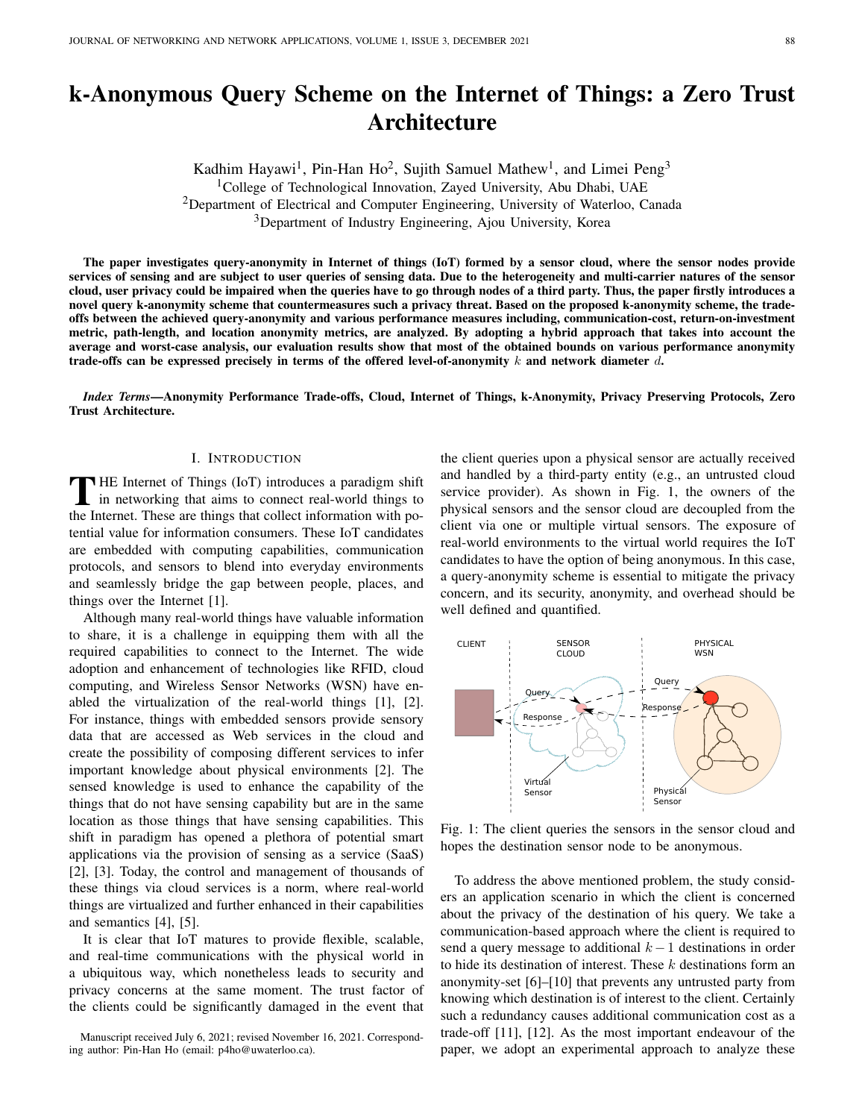# k-Anonymous Query Scheme on the Internet of Things: a Zero Trust Architecture

Kadhim Hayawi<sup>1</sup>, Pin-Han Ho<sup>2</sup>, Sujith Samuel Mathew<sup>1</sup>, and Limei Peng<sup>3</sup> <sup>1</sup>College of Technological Innovation, Zayed University, Abu Dhabi, UAE <sup>2</sup>Department of Electrical and Computer Engineering, University of Waterloo, Canada <sup>3</sup>Department of Industry Engineering, Ajou University, Korea

The paper investigates query-anonymity in Internet of things (IoT) formed by a sensor cloud, where the sensor nodes provide services of sensing and are subject to user queries of sensing data. Due to the heterogeneity and multi-carrier natures of the sensor cloud, user privacy could be impaired when the queries have to go through nodes of a third party. Thus, the paper firstly introduces a novel query k-anonymity scheme that countermeasures such a privacy threat. Based on the proposed k-anonymity scheme, the tradeoffs between the achieved query-anonymity and various performance measures including, communication-cost, return-on-investment metric, path-length, and location anonymity metrics, are analyzed. By adopting a hybrid approach that takes into account the average and worst-case analysis, our evaluation results show that most of the obtained bounds on various performance anonymity trade-offs can be expressed precisely in terms of the offered level-of-anonymity  $k$  and network diameter  $d$ .

*Index Terms*—Anonymity Performance Trade-offs, Cloud, Internet of Things, k-Anonymity, Privacy Preserving Protocols, Zero Trust Architecture.

# I. INTRODUCTION

THE Internet of Things (IoT) introduces a paradigm shift in networking that aims to connect real-world things to the Internet. These are things that collect information with po-**THE Internet of Things (IoT) introduces a paradigm shift** in networking that aims to connect real-world things to tential value for information consumers. These IoT candidates are embedded with computing capabilities, communication protocols, and sensors to blend into everyday environments and seamlessly bridge the gap between people, places, and things over the Internet [1].

Although many real-world things have valuable information to share, it is a challenge in equipping them with all the required capabilities to connect to the Internet. The wide adoption and enhancement of technologies like RFID, cloud computing, and Wireless Sensor Networks (WSN) have enabled the virtualization of the real-world things [1], [2]. For instance, things with embedded sensors provide sensory data that are accessed as Web services in the cloud and create the possibility of composing different services to infer important knowledge about physical environments [2]. The sensed knowledge is used to enhance the capability of the things that do not have sensing capability but are in the same location as those things that have sensing capabilities. This shift in paradigm has opened a plethora of potential smart applications via the provision of sensing as a service (SaaS) [2], [3]. Today, the control and management of thousands of these things via cloud services is a norm, where real-world things are virtualized and further enhanced in their capabilities and semantics [4], [5].

It is clear that IoT matures to provide flexible, scalable, and real-time communications with the physical world in a ubiquitous way, which nonetheless leads to security and privacy concerns at the same moment. The trust factor of the clients could be significantly damaged in the event that

Manuscript received July 6, 2021; revised November 16, 2021. Corresponding author: Pin-Han Ho (email: p4ho@uwaterloo.ca).

the client queries upon a physical sensor are actually received and handled by a third-party entity (e.g., an untrusted cloud service provider). As shown in Fig. 1, the owners of the physical sensors and the sensor cloud are decoupled from the client via one or multiple virtual sensors. The exposure of real-world environments to the virtual world requires the IoT candidates to have the option of being anonymous. In this case, a query-anonymity scheme is essential to mitigate the privacy concern, and its security, anonymity, and overhead should be well defined and quantified.



Fig. 1: The client queries the sensors in the sensor cloud and hopes the destination sensor node to be anonymous.

To address the above mentioned problem, the study considers an application scenario in which the client is concerned about the privacy of the destination of his query. We take a communication-based approach where the client is required to send a query message to additional  $k - 1$  destinations in order to hide its destination of interest. These  $k$  destinations form an anonymity-set [6]–[10] that prevents any untrusted party from knowing which destination is of interest to the client. Certainly such a redundancy causes additional communication cost as a trade-off [11], [12]. As the most important endeavour of the paper, we adopt an experimental approach to analyze these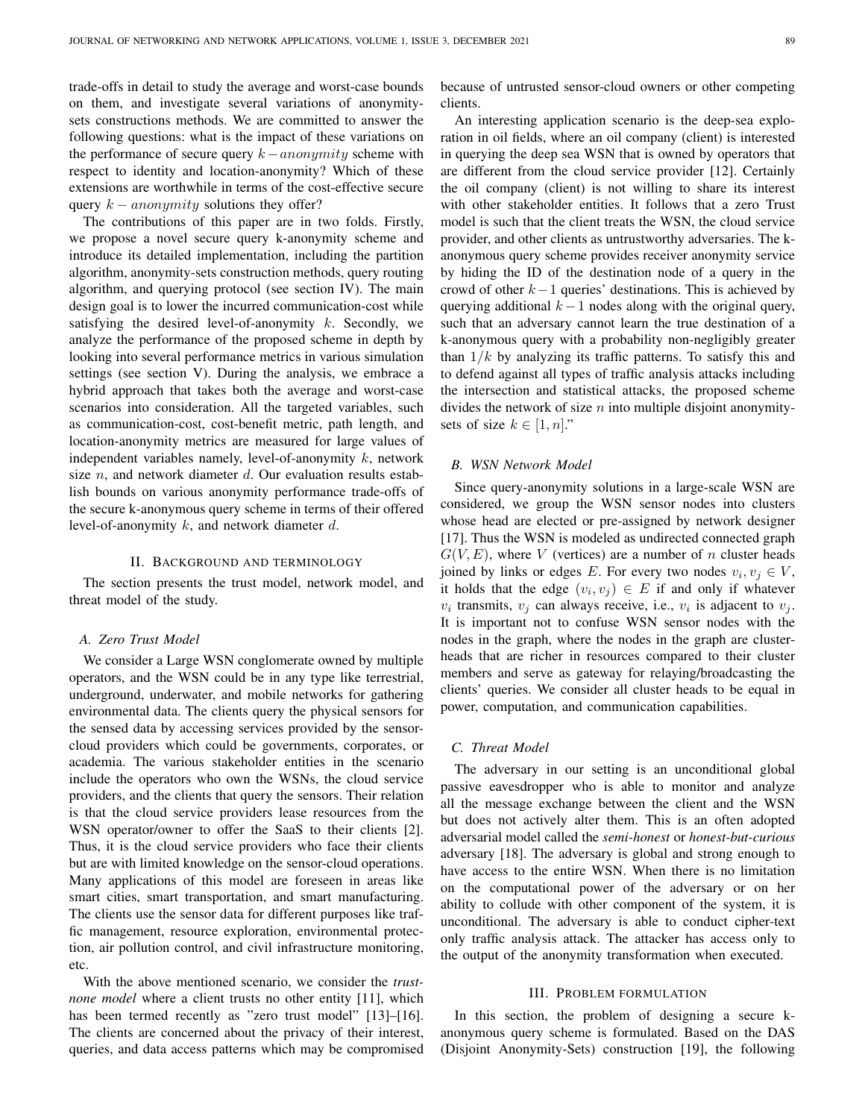trade-offs in detail to study the average and worst-case bounds on them, and investigate several variations of anonymitysets constructions methods. We are committed to answer the following questions: what is the impact of these variations on the performance of secure query  $k-anonymity$  scheme with respect to identity and location-anonymity? Which of these extensions are worthwhile in terms of the cost-effective secure query  $k - *anonymity*$  solutions they offer?

The contributions of this paper are in two folds. Firstly, we propose a novel secure query k-anonymity scheme and introduce its detailed implementation, including the partition algorithm, anonymity-sets construction methods, query routing algorithm, and querying protocol (see section IV). The main design goal is to lower the incurred communication-cost while satisfying the desired level-of-anonymity  $k$ . Secondly, we analyze the performance of the proposed scheme in depth by looking into several performance metrics in various simulation settings (see section V). During the analysis, we embrace a hybrid approach that takes both the average and worst-case scenarios into consideration. All the targeted variables, such as communication-cost, cost-benefit metric, path length, and location-anonymity metrics are measured for large values of independent variables namely, level-of-anonymity  $k$ , network size  $n$ , and network diameter  $d$ . Our evaluation results establish bounds on various anonymity performance trade-offs of the secure k-anonymous query scheme in terms of their offered level-of-anonymity  $k$ , and network diameter  $d$ .

# II. BACKGROUND AND TERMINOLOGY

The section presents the trust model, network model, and threat model of the study.

#### *A. Zero Trust Model*

We consider a Large WSN conglomerate owned by multiple operators, and the WSN could be in any type like terrestrial, underground, underwater, and mobile networks for gathering environmental data. The clients query the physical sensors for the sensed data by accessing services provided by the sensorcloud providers which could be governments, corporates, or academia. The various stakeholder entities in the scenario include the operators who own the WSNs, the cloud service providers, and the clients that query the sensors. Their relation is that the cloud service providers lease resources from the WSN operator/owner to offer the SaaS to their clients [2]. Thus, it is the cloud service providers who face their clients but are with limited knowledge on the sensor-cloud operations. Many applications of this model are foreseen in areas like smart cities, smart transportation, and smart manufacturing. The clients use the sensor data for different purposes like traffic management, resource exploration, environmental protection, air pollution control, and civil infrastructure monitoring, etc.

With the above mentioned scenario, we consider the *trustnone model* where a client trusts no other entity [11], which has been termed recently as "zero trust model" [13]–[16]. The clients are concerned about the privacy of their interest, queries, and data access patterns which may be compromised because of untrusted sensor-cloud owners or other competing clients.

An interesting application scenario is the deep-sea exploration in oil fields, where an oil company (client) is interested in querying the deep sea WSN that is owned by operators that are different from the cloud service provider [12]. Certainly the oil company (client) is not willing to share its interest with other stakeholder entities. It follows that a zero Trust model is such that the client treats the WSN, the cloud service provider, and other clients as untrustworthy adversaries. The kanonymous query scheme provides receiver anonymity service by hiding the ID of the destination node of a query in the crowd of other  $k-1$  queries' destinations. This is achieved by querying additional  $k - 1$  nodes along with the original query, such that an adversary cannot learn the true destination of a k-anonymous query with a probability non-negligibly greater than  $1/k$  by analyzing its traffic patterns. To satisfy this and to defend against all types of traffic analysis attacks including the intersection and statistical attacks, the proposed scheme divides the network of size  $n$  into multiple disjoint anonymitysets of size  $k \in [1, n]$ ."

#### *B. WSN Network Model*

Since query-anonymity solutions in a large-scale WSN are considered, we group the WSN sensor nodes into clusters whose head are elected or pre-assigned by network designer [17]. Thus the WSN is modeled as undirected connected graph  $G(V, E)$ , where V (vertices) are a number of n cluster heads joined by links or edges E. For every two nodes  $v_i, v_j \in V$ , it holds that the edge  $(v_i, v_j) \in E$  if and only if whatever  $v_i$  transmits,  $v_j$  can always receive, i.e.,  $v_i$  is adjacent to  $v_j$ . It is important not to confuse WSN sensor nodes with the nodes in the graph, where the nodes in the graph are clusterheads that are richer in resources compared to their cluster members and serve as gateway for relaying/broadcasting the clients' queries. We consider all cluster heads to be equal in power, computation, and communication capabilities.

#### *C. Threat Model*

The adversary in our setting is an unconditional global passive eavesdropper who is able to monitor and analyze all the message exchange between the client and the WSN but does not actively alter them. This is an often adopted adversarial model called the *semi-honest* or *honest-but-curious* adversary [18]. The adversary is global and strong enough to have access to the entire WSN. When there is no limitation on the computational power of the adversary or on her ability to collude with other component of the system, it is unconditional. The adversary is able to conduct cipher-text only traffic analysis attack. The attacker has access only to the output of the anonymity transformation when executed.

#### III. PROBLEM FORMULATION

In this section, the problem of designing a secure kanonymous query scheme is formulated. Based on the DAS (Disjoint Anonymity-Sets) construction [19], the following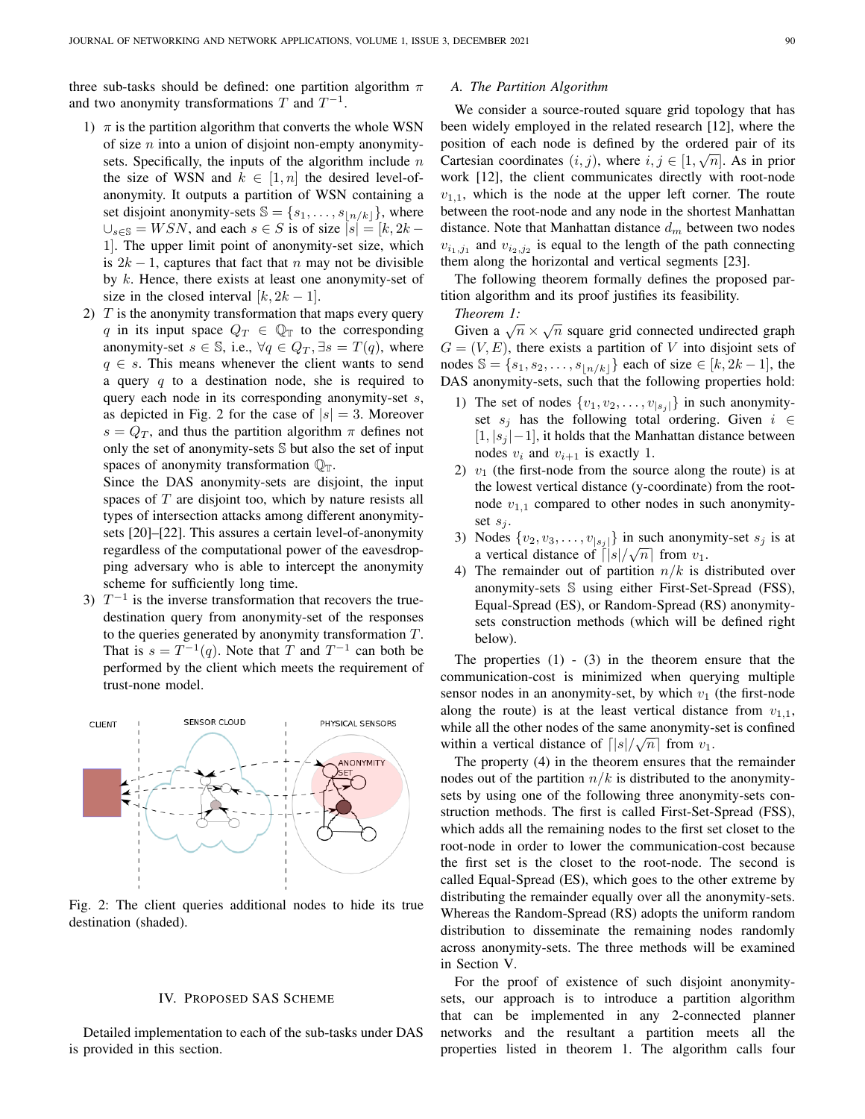three sub-tasks should be defined: one partition algorithm  $\pi$ and two anonymity transformations  $T$  and  $T^{-1}$ .

- 1)  $\pi$  is the partition algorithm that converts the whole WSN of size  $n$  into a union of disjoint non-empty anonymitysets. Specifically, the inputs of the algorithm include  $n$ the size of WSN and  $k \in [1, n]$  the desired level-ofanonymity. It outputs a partition of WSN containing a set disjoint anonymity-sets  $\mathbb{S} = \{s_1, \ldots, s_{\lfloor n/k \rfloor}\}\$ , where  $\bigcup_{s \in \mathbb{S}} = WSN$ , and each  $s \in S$  is of size  $|s| = [k, 2k - \mathbb{S}]$ 1]. The upper limit point of anonymity-set size, which is  $2k - 1$ , captures that fact that n may not be divisible by  $k$ . Hence, there exists at least one anonymity-set of size in the closed interval  $[k, 2k - 1]$ .
- 2)  $T$  is the anonymity transformation that maps every query q in its input space  $Q_T \in \mathbb{Q}_T$  to the corresponding anonymity-set  $s \in \mathbb{S}$ , i.e.,  $\forall q \in Q_T$ ,  $\exists s = T(q)$ , where  $q \in s$ . This means whenever the client wants to send a query  $q$  to a destination node, she is required to query each node in its corresponding anonymity-set s, as depicted in Fig. 2 for the case of  $|s| = 3$ . Moreover  $s = Q_T$ , and thus the partition algorithm  $\pi$  defines not only the set of anonymity-sets S but also the set of input spaces of anonymity transformation  $\mathbb{Q}_T$ .

Since the DAS anonymity-sets are disjoint, the input spaces of  $T$  are disjoint too, which by nature resists all types of intersection attacks among different anonymitysets [20]–[22]. This assures a certain level-of-anonymity regardless of the computational power of the eavesdropping adversary who is able to intercept the anonymity scheme for sufficiently long time.

3)  $T^{-1}$  is the inverse transformation that recovers the truedestination query from anonymity-set of the responses to the queries generated by anonymity transformation  $T$ . That is  $s = T^{-1}(q)$ . Note that T and  $T^{-1}$  can both be performed by the client which meets the requirement of trust-none model.



Fig. 2: The client queries additional nodes to hide its true destination (shaded).

#### IV. PROPOSED SAS SCHEME

Detailed implementation to each of the sub-tasks under DAS is provided in this section.

# *A. The Partition Algorithm*

We consider a source-routed square grid topology that has been widely employed in the related research [12], where the position of each node is defined by the ordered pair of its  $\overline{G}$ Cartesian coordinates  $(i, j)$ , where  $i, j \in [1, \sqrt{n}]$ . As in prior work [12], the client communicates directly with root-node  $v_{1,1}$ , which is the node at the upper left corner. The route between the root-node and any node in the shortest Manhattan distance. Note that Manhattan distance  $d_m$  between two nodes  $v_{i_1,j_1}$  and  $v_{i_2,j_2}$  is equal to the length of the path connecting them along the horizontal and vertical segments [23].

The following theorem formally defines the proposed partition algorithm and its proof justifies its feasibility.

*Theorem 1:*

Finement 1.<br>Given a  $\sqrt{n} \times \sqrt{n}$  square grid connected undirected graph  $G = (V, E)$ , there exists a partition of V into disjoint sets of nodes S = {s<sub>1</sub>, s<sub>2</sub>, . . . , s<sub>[n/k]</sub>} each of size ∈ [k, 2k – 1], the DAS anonymity-sets, such that the following properties hold:

- 1) The set of nodes  $\{v_1, v_2, \ldots, v_{|s_j|}\}$  in such anonymityset  $s_j$  has the following total ordering. Given  $i \in$  $[1, |s_j| - 1]$ , it holds that the Manhattan distance between nodes  $v_i$  and  $v_{i+1}$  is exactly 1.
- 2)  $v_1$  (the first-node from the source along the route) is at the lowest vertical distance (y-coordinate) from the rootnode  $v_{1,1}$  compared to other nodes in such anonymityset  $s_i$ .
- 3) Nodes  $\{v_2, v_3, \ldots, v_{|s_j|}\}$  in such anonymity-set  $s_j$  is at a vertical distance of  $\lceil |s|/\sqrt{n} \rceil$  from  $v_1$ .
- 4) The remainder out of partition  $n/k$  is distributed over anonymity-sets S using either First-Set-Spread (FSS), Equal-Spread (ES), or Random-Spread (RS) anonymitysets construction methods (which will be defined right below).

The properties  $(1)$  -  $(3)$  in the theorem ensure that the communication-cost is minimized when querying multiple sensor nodes in an anonymity-set, by which  $v_1$  (the first-node along the route) is at the least vertical distance from  $v_{1,1}$ , while all the other nodes of the same anonymity-set is confined within a vertical distance of  $\lceil |s| / \sqrt{n} \rceil$  from  $v_1$ .

The property (4) in the theorem ensures that the remainder nodes out of the partition  $n/k$  is distributed to the anonymitysets by using one of the following three anonymity-sets construction methods. The first is called First-Set-Spread (FSS), which adds all the remaining nodes to the first set closet to the root-node in order to lower the communication-cost because the first set is the closet to the root-node. The second is called Equal-Spread (ES), which goes to the other extreme by distributing the remainder equally over all the anonymity-sets. Whereas the Random-Spread (RS) adopts the uniform random distribution to disseminate the remaining nodes randomly across anonymity-sets. The three methods will be examined in Section V.

For the proof of existence of such disjoint anonymitysets, our approach is to introduce a partition algorithm that can be implemented in any 2-connected planner networks and the resultant a partition meets all the properties listed in theorem 1. The algorithm calls four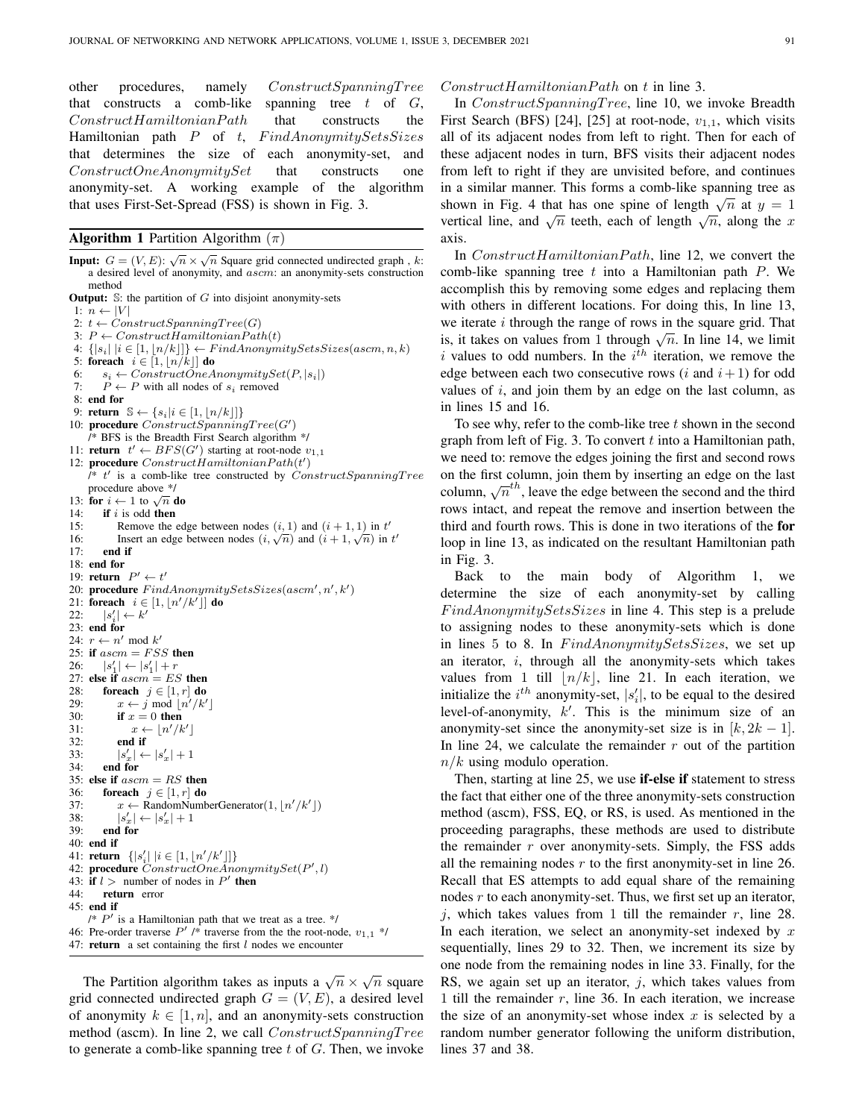other procedures, namely ConstructSpanningT ree that constructs a comb-like spanning tree  $t$  of  $G$ ,  $Construct Hamiltonian Path$  that constructs the Hamiltonian path  $P$  of t,  $FindAnonymitySetsSizes$ that determines the size of each anonymity-set, and  $ConstructOneAnonymitySet$  that constructs one anonymity-set. A working example of the algorithm that uses First-Set-Spread (FSS) is shown in Fig. 3.

#### **Algorithm 1** Partition Algorithm  $(\pi)$

**Input:**  $G = (V, E): \sqrt{n} \times \sqrt{n}$  Square grid connected undirected graph, k: a desired level of anonymity, and ascm: an anonymity-sets construction method **Output:**  $\mathbb{S}$ : the partition of  $G$  into disjoint anonymity-sets 1:  $n \leftarrow |V|$ 2:  $t \leftarrow ConstructSpanningTree(G)$ 3:  $P \leftarrow ConstructHamiltonianPath(t)$ 4:  $\{ |s_i| \mid i \in [1, \lfloor n/k \rfloor] \} \leftarrow FindAnonymitySetsSizes(ascm, n, k)$ 5: foreach  $i \in [1, |n/k|]$  do 6:  $s_i \leftarrow ConstructOneAnonymitySet(P, |s_i|)$ <br>7:  $P \leftarrow P$  with all nodes of  $s_i$  removed  $P \leftarrow P$  with all nodes of  $s_i$  removed 8: end for 9: return  $\mathbb{S} \leftarrow \{s_i | i \in [1, \lfloor n/k \rfloor] \}$ 10: procedure  $ConstructSpanningTree(G')$ /\* BFS is the Breadth First Search algorithm \*/ 11: **return**  $t' \leftarrow BFS(G')$  starting at root-node  $v_{1,1}$ 12: procedure  $Construct HamiltonianPath(t')$  $\hat{I}^*$  t' is a comb-like tree constructed by ConstructSpanningTree procedure above \*/ procedure above  $\gamma$ <br>13: **for**  $i \leftarrow 1$  to  $\sqrt{n}$  **do** 14: **if** i is odd **then** 15: **Remove the** 15: Remove the edge between nodes  $(i, 1)$  and  $(i + 1, 1)$  in  $t'$ 15: Remove the edge between nodes  $(i, 1)$  and  $(i + 1, 1)$  in t<br>16: Insert an edge between nodes  $(i, \sqrt{n})$  and  $(i + 1, \sqrt{n})$  in t' 17: end if 18: end for 19: **return**  $P' \leftarrow t'$ 20: procedure  $FindAnonymitySetsSizes(ascm', n', k')$ 21: foreach  $i \in [1, \lfloor n'/k' \rfloor]$  do  $22:$  $\binom{1}{i} \leftarrow k'$ 23: end for 24:  $r \leftarrow n' \mod k'$ 25: if  $ascm = FSS$  then 26:  $|s'_1| \leftarrow |s'_1| + r$ 27: else if  $ascm = ES$  then 28: **foreach**  $j \in [1, r]$  do 29:  $x \leftarrow j \mod \lfloor n'/k' \rfloor$ 30: if  $x = 0$  then 31:  $x \leftarrow \lfloor n'/k' \rfloor$ 32: end if  $33:34:$  $|s'_x| \leftarrow |s'_x| + 1$ end for 35: else if  $ascm = RS$  then 36: foreach  $j \in [1, r]$  do 37:  $x \leftarrow \text{RandomNumberGenerator}(1, |n'/k'|)$ 38:  $|s'_x| \leftarrow |s'_x| + 1$ 39: end for 40: end if 41: **return**  $\{ |s'_i| | i \in [1, \lfloor n'/k' \rfloor] \}$ 42: procedure  $ConstructOneAnonymitySet(P', l)$ 43: if  $l >$  number of nodes in  $P'$  then 44: return error 45: end if  $\mathbb{P}'$  is a Hamiltonian path that we treat as a tree. \*/ 46: Pre-order traverse  $P'$  /\* traverse from the the root-node,  $v_{1,1}$  \*/ 47: **return** a set containing the first  $l$  nodes we encounter

The Partition algorithm takes as inputs a  $\sqrt{n} \times \sqrt{n}$  square grid connected undirected graph  $G = (V, E)$ , a desired level of anonymity  $k \in [1, n]$ , and an anonymity-sets construction method (ascm). In line 2, we call  $ConstructSpanningTree$ to generate a comb-like spanning tree  $t$  of  $G$ . Then, we invoke

#### $Construct Hamiltonian Path$  on t in line 3.

In ConstructSpanningTree, line 10, we invoke Breadth First Search (BFS) [24], [25] at root-node,  $v_{1,1}$ , which visits all of its adjacent nodes from left to right. Then for each of these adjacent nodes in turn, BFS visits their adjacent nodes from left to right if they are unvisited before, and continues in a similar manner. This forms a comb-like spanning tree as In a similar manner. This forms a comp-like spanning tree as<br>shown in Fig. 4 that has one spine of length  $\sqrt{n}$  at  $y = 1$ shown in Fig. 4 that has one spine of length  $\sqrt{n}$  at  $y = 1$ <br>vertical line, and  $\sqrt{n}$  teeth, each of length  $\sqrt{n}$ , along the x axis.

In  $Construct Hamiltonian Path$ , line 12, we convert the comb-like spanning tree  $t$  into a Hamiltonian path  $P$ . We accomplish this by removing some edges and replacing them with others in different locations. For doing this, In line 13, we iterate  $i$  through the range of rows in the square grid. That we nerate *t* unough the range of rows in the square grid. That<br>is, it takes on values from 1 through  $\sqrt{n}$ . In line 14, we limit i values to odd numbers. In the  $i<sup>th</sup>$  iteration, we remove the edge between each two consecutive rows  $(i \text{ and } i+1)$  for odd values of  $i$ , and join them by an edge on the last column, as in lines 15 and 16.

To see why, refer to the comb-like tree  $t$  shown in the second graph from left of Fig. 3. To convert  $t$  into a Hamiltonian path, we need to: remove the edges joining the first and second rows on the first column, join them by inserting an edge on the last for the first column, join them by inserting an edge on the fast column,  $\sqrt{n}^{th}$ , leave the edge between the second and the third rows intact, and repeat the remove and insertion between the third and fourth rows. This is done in two iterations of the for loop in line 13, as indicated on the resultant Hamiltonian path in Fig. 3.

Back to the main body of Algorithm 1, we determine the size of each anonymity-set by calling  $FindAnonymitySetsSizes$  in line 4. This step is a prelude to assigning nodes to these anonymity-sets which is done in lines 5 to 8. In  $FindAnonymitySetsSizes$ , we set up an iterator,  $i$ , through all the anonymity-sets which takes values from 1 till  $|n/k|$ , line 21. In each iteration, we initialize the  $i^{th}$  anonymity-set,  $|s'_i|$ , to be equal to the desired level-of-anonymity,  $k'$ . This is the minimum size of an anonymity-set since the anonymity-set size is in  $[k, 2k - 1]$ . In line 24, we calculate the remainder  $r$  out of the partition  $n/k$  using modulo operation.

Then, starting at line 25, we use **if-else if** statement to stress the fact that either one of the three anonymity-sets construction method (ascm), FSS, EQ, or RS, is used. As mentioned in the proceeding paragraphs, these methods are used to distribute the remainder  $r$  over anonymity-sets. Simply, the FSS adds all the remaining nodes  $r$  to the first anonymity-set in line 26. Recall that ES attempts to add equal share of the remaining nodes  $r$  to each anonymity-set. Thus, we first set up an iterator, j, which takes values from 1 till the remainder  $r$ , line 28. In each iteration, we select an anonymity-set indexed by  $x$ sequentially, lines 29 to 32. Then, we increment its size by one node from the remaining nodes in line 33. Finally, for the RS, we again set up an iterator,  $j$ , which takes values from 1 till the remainder  $r$ , line 36. In each iteration, we increase the size of an anonymity-set whose index  $x$  is selected by a random number generator following the uniform distribution, lines 37 and 38.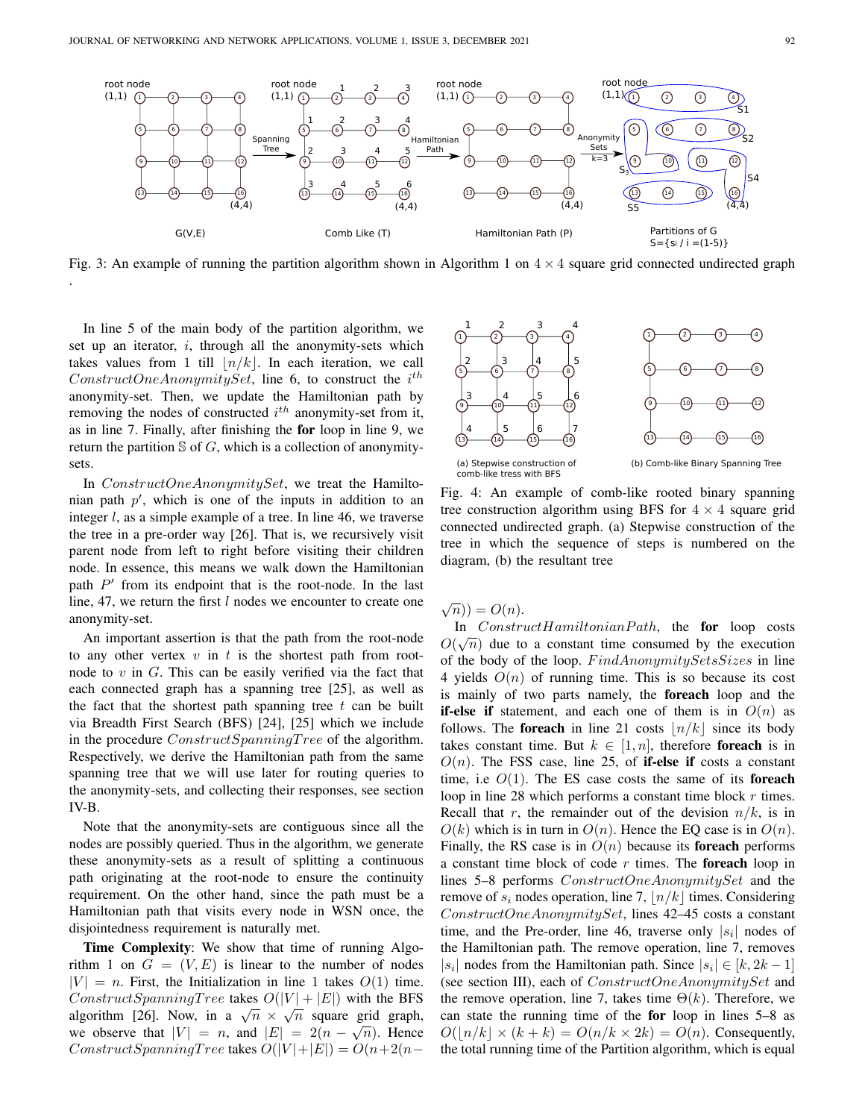

Fig. 3: An example of running the partition algorithm shown in Algorithm 1 on  $4 \times 4$  square grid connected undirected graph

In line 5 of the main body of the partition algorithm, we set up an iterator,  $i$ , through all the anonymity-sets which takes values from 1 till  $\lfloor n/k \rfloor$ . In each iteration, we call  $ConstructOneAnonymitySet$ , line 6, to construct the  $i^{th}$ anonymity-set. Then, we update the Hamiltonian path by removing the nodes of constructed  $i^{th}$  anonymity-set from it, as in line 7. Finally, after finishing the for loop in line 9, we return the partition  $S$  of G, which is a collection of anonymitysets.

.

In ConstructOneAnonymitySet, we treat the Hamiltonian path  $p'$ , which is one of the inputs in addition to an integer  $l$ , as a simple example of a tree. In line 46, we traverse the tree in a pre-order way [26]. That is, we recursively visit parent node from left to right before visiting their children node. In essence, this means we walk down the Hamiltonian path  $P'$  from its endpoint that is the root-node. In the last line, 47, we return the first  $l$  nodes we encounter to create one anonymity-set.

An important assertion is that the path from the root-node to any other vertex  $v$  in  $t$  is the shortest path from rootnode to  $v$  in  $G$ . This can be easily verified via the fact that each connected graph has a spanning tree [25], as well as the fact that the shortest path spanning tree  $t$  can be built via Breadth First Search (BFS) [24], [25] which we include in the procedure  $ConstructSpanningTree$  of the algorithm. Respectively, we derive the Hamiltonian path from the same spanning tree that we will use later for routing queries to the anonymity-sets, and collecting their responses, see section IV-B.

Note that the anonymity-sets are contiguous since all the nodes are possibly queried. Thus in the algorithm, we generate these anonymity-sets as a result of splitting a continuous path originating at the root-node to ensure the continuity requirement. On the other hand, since the path must be a Hamiltonian path that visits every node in WSN once, the disjointedness requirement is naturally met.

Time Complexity: We show that time of running Algorithm 1 on  $G = (V, E)$  is linear to the number of nodes  $|V| = n$ . First, the Initialization in line 1 takes  $O(1)$  time. ConstructSpanningTree takes  $O(|V| + |E|)$  with the BFS Constructs painting 1 ree takes  $O(|V| + |E|)$  with the Brs<br>algorithm [26]. Now, in a  $\sqrt{n} \times \sqrt{n}$  square grid graph, we observe that  $|V| = n$ , and  $|E| = 2(n - \sqrt{n})$ . Hence ConstructSpanningTree takes  $O(|V|+|E|) = O(n+2(n-$ 



Fig. 4: An example of comb-like rooted binary spanning tree construction algorithm using BFS for  $4 \times 4$  square grid connected undirected graph. (a) Stepwise construction of the tree in which the sequence of steps is numbered on the diagram, (b) the resultant tree

 $\sqrt{n})$  =  $O(n)$ .

In  $Construct Hamiltonian Path$ , the **for** loop costs  $O(\sqrt{n})$  due to a constant time consumed by the execution of the body of the loop. FindAnonymitySetsSizes in line 4 yields  $O(n)$  of running time. This is so because its cost is mainly of two parts namely, the foreach loop and the **if-else if** statement, and each one of them is in  $O(n)$  as follows. The foreach in line 21 costs  $|n/k|$  since its body takes constant time. But  $k \in [1, n]$ , therefore foreach is in  $O(n)$ . The FSS case, line 25, of **if-else if** costs a constant time, i.e  $O(1)$ . The ES case costs the same of its **foreach** loop in line 28 which performs a constant time block  $r$  times. Recall that r, the remainder out of the devision  $n/k$ , is in  $O(k)$  which is in turn in  $O(n)$ . Hence the EQ case is in  $O(n)$ . Finally, the RS case is in  $O(n)$  because its **foreach** performs a constant time block of code  $r$  times. The **foreach** loop in lines 5–8 performs ConstructOneAnonymitySet and the remove of  $s_i$  nodes operation, line 7,  $\lfloor n/k \rfloor$  times. Considering ConstructOneAnonymitySet, lines 42–45 costs a constant time, and the Pre-order, line 46, traverse only  $|s_i|$  nodes of the Hamiltonian path. The remove operation, line 7, removes |s<sub>i</sub>| nodes from the Hamiltonian path. Since  $|s_i| \in [k, 2k-1]$ (see section III), each of  $ConstructOneAnonymitySet$  and the remove operation, line 7, takes time  $\Theta(k)$ . Therefore, we can state the running time of the for loop in lines 5–8 as  $O(|n/k| \times (k+k) = O(n/k \times 2k) = O(n)$ . Consequently, the total running time of the Partition algorithm, which is equal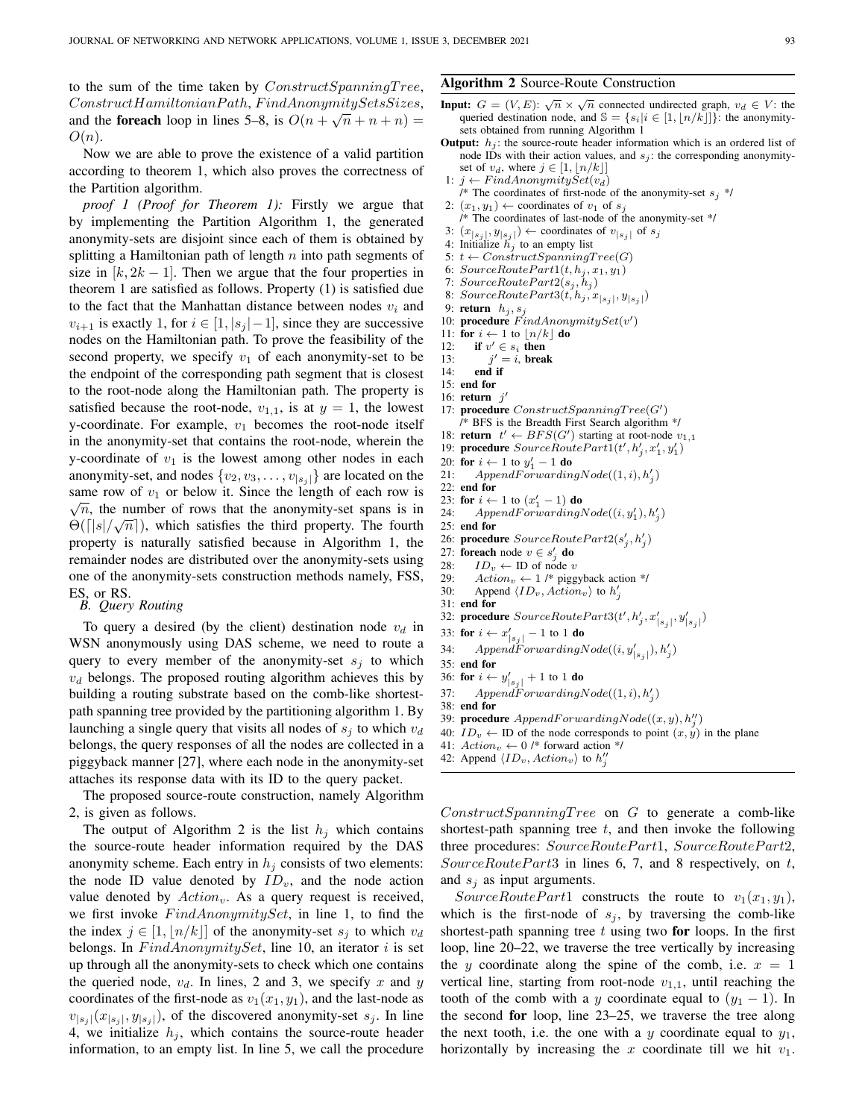to the sum of the time taken by  $ConstructSpanningTree$ ,  $Construct Hamiltonian Path, Find AnonymitySets.$ and the **foreach** loop in lines 5–8, is  $O(n + \sqrt{n} + n + n) =$  $O(n).$ 

Now we are able to prove the existence of a valid partition according to theorem 1, which also proves the correctness of the Partition algorithm.

*proof 1 (Proof for Theorem 1):* Firstly we argue that by implementing the Partition Algorithm 1, the generated anonymity-sets are disjoint since each of them is obtained by splitting a Hamiltonian path of length  $n$  into path segments of size in  $[k, 2k - 1]$ . Then we argue that the four properties in theorem 1 are satisfied as follows. Property (1) is satisfied due to the fact that the Manhattan distance between nodes  $v_i$  and  $v_{i+1}$  is exactly 1, for  $i \in [1, |s_i| - 1]$ , since they are successive nodes on the Hamiltonian path. To prove the feasibility of the second property, we specify  $v_1$  of each anonymity-set to be the endpoint of the corresponding path segment that is closest to the root-node along the Hamiltonian path. The property is satisfied because the root-node,  $v_{1,1}$ , is at  $y = 1$ , the lowest y-coordinate. For example,  $v_1$  becomes the root-node itself in the anonymity-set that contains the root-node, wherein the y-coordinate of  $v_1$  is the lowest among other nodes in each anonymity-set, and nodes  $\{v_2, v_3, \ldots, v_{|s_i|}\}$  are located on the same row of  $v_1$  or below it. Since the length of each row is  $\overline{n}$ , the number of rows that the anonymity-set spans is in  $\Theta(\lceil |s|/\sqrt{n})$ , which satisfies the third property. The fourth property is naturally satisfied because in Algorithm 1, the remainder nodes are distributed over the anonymity-sets using one of the anonymity-sets construction methods namely, FSS, ES, or RS.

*B. Query Routing*

To query a desired (by the client) destination node  $v_d$  in WSN anonymously using DAS scheme, we need to route a query to every member of the anonymity-set  $s_i$  to which  $v<sub>d</sub>$  belongs. The proposed routing algorithm achieves this by building a routing substrate based on the comb-like shortestpath spanning tree provided by the partitioning algorithm 1. By launching a single query that visits all nodes of  $s_i$  to which  $v_d$ belongs, the query responses of all the nodes are collected in a piggyback manner [27], where each node in the anonymity-set attaches its response data with its ID to the query packet.

The proposed source-route construction, namely Algorithm 2, is given as follows.

The output of Algorithm 2 is the list  $h_i$  which contains the source-route header information required by the DAS anonymity scheme. Each entry in  $h_i$  consists of two elements: the node ID value denoted by  $ID_v$ , and the node action value denoted by  $Action_v$ . As a query request is received, we first invoke  $FindAnonymitySet$ , in line 1, to find the the index  $j \in [1, |n/k|]$  of the anonymity-set  $s_i$  to which  $v_d$ belongs. In  $FindAnonymitySet$ , line 10, an iterator i is set up through all the anonymity-sets to check which one contains the queried node,  $v_d$ . In lines, 2 and 3, we specify x and y coordinates of the first-node as  $v_1(x_1, y_1)$ , and the last-node as  $v_{|s_j|}(x_{|s_j|}, y_{|s_j|})$ , of the discovered anonymity-set  $s_j$ . In line 4, we initialize  $h_j$ , which contains the source-route header information, to an empty list. In line 5, we call the procedure

### Algorithm 2 Source-Route Construction

- **Input:**  $G = (V, E)$ :  $\sqrt{n} \times \sqrt{n}$  connected undirected graph,  $v_d \in V$ : the queried destination node, and  $\mathbb{S} = \{s_i | i \in [1, \lfloor n/k \rfloor] \}$ : the anonymitysets obtained from running Algorithm 1
- **Output:**  $h_i$ : the source-route header information which is an ordered list of node IDs with their action values, and  $s_j$ : the corresponding anonymityset of  $v_d$ , where  $j \in [1, |n/k|]$
- 1:  $j \leftarrow FindAnonymitySet(v_d)$
- /\* The coordinates of first-node of the anonymity-set  $s_j$  \*/ 2:  $(x_1, y_1) \leftarrow$  coordinates of  $v_1$  of  $s_i$
- /\* The coordinates of last-node of the anonymity-set \*/ 3:  $(x_{|s_j|}, y_{|s_j|}) \leftarrow$  coordinates of  $v_{|s_j|}$  of  $s_j$
- 4: Initialize  $\tilde{h}_i$  to an empty list
- 5:  $t \leftarrow ConstructSpanningTree(G)$
- 6:  $SourceRoutePart1(t, h<sub>j</sub>, x<sub>1</sub>, y<sub>1</sub>)$
- 7:  $SourceRoutePart2(s<sub>i</sub>, h<sub>i</sub>)$
- 8:  $SourceRoutePart3(t, h_j, x_{|s_j|}, y_{|s_j|})$
- 9: return  $h_i, s_j$
- 10: procedure  $FindAnonymitySet(v')$
- 
- 11: **for**  $i \leftarrow 1$  to  $\lfloor n/k \rfloor$  **do**<br>12: **if**  $v' \in s_i$  **then** 12: if  $v' \in s_i$  then
- $13:$  $j^\prime=i,$  break

′

- 14: end if
- 15: end for
- 16: return  $j$
- 17: procedure  $ConstructSpanningTree(G')$ /\* BFS is the Breadth First Search algorithm \*/
- 18: **return**  $t' \leftarrow BFS(G')$  starting at root-node  $v_{1,1}$
- 19: procedure  $SourceRoutePart1(t', h'_j, x'_1, y'_1)$
- 20: for  $i \leftarrow 1$  to  $y'_1 1$  do
- 21: Append $\vec{For}$ warding $Node((1, i), h'_j)$
- 22: end for
- 23: for  $i \leftarrow 1$  to  $(x'_1 1)$  do
- 24: AppendForwardingNode $((i, y'_1), h'_j)$
- 25: end for
- 26: procedure  $SourceRoutePart2(s'_j, h'_j)$
- 27: **foreach** node  $v \in s'_j$  **do**
- 28:  $ID_v \leftarrow ID$  of node v<br>29:  $Action_v \leftarrow 1$  /\* pigg
- 29:  $Action_v \leftarrow 1$  /\* piggyback action \*/<br>30: Append  $(ID_v, Action_v)$  to  $h'$ .
- 30: Append  $\langle ID_v, Action_v \rangle$  to  $h'_j$ 31: end for
	-
- 32: procedure  $SourceRoutePart3(t', h'_j, x'_{|s_j|}, y'_{|s_j|})$
- 33: for  $i \leftarrow x'_{|s_j|} 1$  to 1 do
- 34: AppendForwardingNode $((i, y'_{|s_j|}), h'_j)$
- 35: end for
- 36: for  $i \leftarrow y'_{|s_j|} + 1$  to 1 do
- 37: AppendForwardingNode $((1,i), h'_j)$
- 38: end for
- 39: **procedure**  $AppendForwardingNode((x, y), h''_j)$
- 40:  $ID_v \leftarrow ID$  of the node corresponds to point  $(x, y)$  in the plane
- 41:  $Action_v \leftarrow 0$  /\* forward action \*/
- 42: Append  $\langle ID_v, Action_v \rangle$  to  $h''_j$

 $ConstructSpanningTree$  on G to generate a comb-like shortest-path spanning tree  $t$ , and then invoke the following three procedures:  $SourceRoutePart1, SourceRoutePart2,$  $SourceRoutePart3$  in lines 6, 7, and 8 respectively, on t, and  $s_i$  as input arguments.

SourceRoutePart1 constructs the route to  $v_1(x_1, y_1)$ , which is the first-node of  $s_j$ , by traversing the comb-like shortest-path spanning tree  $t$  using two for loops. In the first loop, line 20–22, we traverse the tree vertically by increasing the y coordinate along the spine of the comb, i.e.  $x = 1$ vertical line, starting from root-node  $v_{1,1}$ , until reaching the tooth of the comb with a y coordinate equal to  $(y_1 - 1)$ . In the second for loop, line 23–25, we traverse the tree along the next tooth, i.e. the one with a y coordinate equal to  $y_1$ , horizontally by increasing the  $x$  coordinate till we hit  $v_1$ .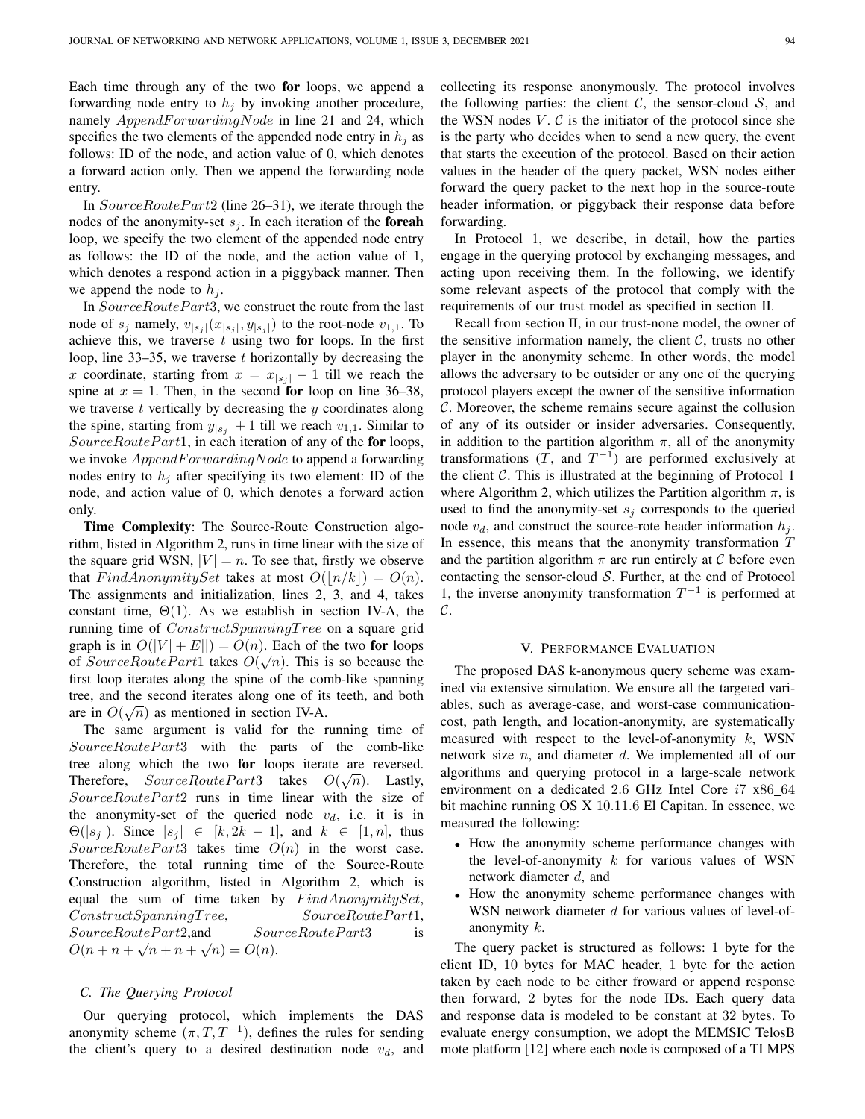Each time through any of the two for loops, we append a forwarding node entry to  $h_i$  by invoking another procedure, namely  $AppendForwardingNode$  in line 21 and 24, which specifies the two elements of the appended node entry in  $h_i$  as follows: ID of the node, and action value of 0, which denotes a forward action only. Then we append the forwarding node entry.

In  $SourceRoutePart2$  (line 26–31), we iterate through the nodes of the anonymity-set  $s_i$ . In each iteration of the **foreah** loop, we specify the two element of the appended node entry as follows: the ID of the node, and the action value of 1, which denotes a respond action in a piggyback manner. Then we append the node to  $h_i$ .

In SourceRoutePart3, we construct the route from the last node of  $s_j$  namely,  $v_{|s_j|}(x_{|s_j|}, y_{|s_j|})$  to the root-node  $v_{1,1}$ . To achieve this, we traverse  $t$  using two for loops. In the first loop, line  $33-35$ , we traverse t horizontally by decreasing the x coordinate, starting from  $x = x_{|s_i|} - 1$  till we reach the spine at  $x = 1$ . Then, in the second for loop on line 36–38, we traverse  $t$  vertically by decreasing the  $y$  coordinates along the spine, starting from  $y_{|s_j|} + 1$  till we reach  $v_{1,1}$ . Similar to  $SourceRoute Part1$ , in each iteration of any of the for loops, we invoke  $AppendForwardingNode$  to append a forwarding nodes entry to  $h_i$  after specifying its two element: ID of the node, and action value of 0, which denotes a forward action only.

Time Complexity: The Source-Route Construction algorithm, listed in Algorithm 2, runs in time linear with the size of the square grid WSN,  $|V| = n$ . To see that, firstly we observe that  $FindAnonymitySet$  takes at most  $O(|n/k|) = O(n)$ . The assignments and initialization, lines 2, 3, and 4, takes constant time,  $\Theta(1)$ . As we establish in section IV-A, the running time of ConstructSpanningTree on a square grid graph is in  $O(|V| + E||) = O(n)$ . Each of the two **for** loops of SourceRoutePart1 takes  $O(\sqrt{n})$ . This is so because the first loop iterates along the spine of the comb-like spanning tree, and the second iterates along one of its teeth, and both are in  $O(\sqrt{n})$  as mentioned in section IV-A.

The same argument is valid for the running time of SourceRoutePart3 with the parts of the comb-like tree along which the two **for** loops iterate are reversed. Therefore,  $SourceRoutePart3$  takes  $O(\sqrt{n})$ . Lastly, SourceRoutePart2 runs in time linear with the size of the anonymity-set of the queried node  $v_d$ , i.e. it is in  $\Theta(|s_j|)$ . Since  $|s_j| \in [k, 2k-1]$ , and  $k \in [1, n]$ , thus SourceRoutePart3 takes time  $O(n)$  in the worst case. Therefore, the total running time of the Source-Route Construction algorithm, listed in Algorithm 2, which is equal the sum of time taken by  $FindAnonymitySet$ ,  $Construct SpanningTree,$   $SourceRoutePart1,$  $SourceRoutePart2, and$   $SourceRoutePart3$  is  $O(n + n + \sqrt{n} + n + \sqrt{n}) = O(n).$ 

#### *C. The Querying Protocol*

Our querying protocol, which implements the DAS anonymity scheme  $(\pi, T, T^{-1})$ , defines the rules for sending the client's query to a desired destination node  $v_d$ , and collecting its response anonymously. The protocol involves the following parties: the client  $\mathcal{C}$ , the sensor-cloud  $\mathcal{S}$ , and the WSN nodes  $V$ .  $C$  is the initiator of the protocol since she is the party who decides when to send a new query, the event that starts the execution of the protocol. Based on their action values in the header of the query packet, WSN nodes either forward the query packet to the next hop in the source-route header information, or piggyback their response data before forwarding.

In Protocol 1, we describe, in detail, how the parties engage in the querying protocol by exchanging messages, and acting upon receiving them. In the following, we identify some relevant aspects of the protocol that comply with the requirements of our trust model as specified in section II.

Recall from section II, in our trust-none model, the owner of the sensitive information namely, the client  $C$ , trusts no other player in the anonymity scheme. In other words, the model allows the adversary to be outsider or any one of the querying protocol players except the owner of the sensitive information C. Moreover, the scheme remains secure against the collusion of any of its outsider or insider adversaries. Consequently, in addition to the partition algorithm  $\pi$ , all of the anonymity transformations  $(T,$  and  $T^{-1}$ ) are performed exclusively at the client  $C$ . This is illustrated at the beginning of Protocol 1 where Algorithm 2, which utilizes the Partition algorithm  $\pi$ , is used to find the anonymity-set  $s_i$  corresponds to the queried node  $v_d$ , and construct the source-rote header information  $h_j$ . In essence, this means that the anonymity transformation  $T$ and the partition algorithm  $\pi$  are run entirely at C before even contacting the sensor-cloud  $S$ . Further, at the end of Protocol 1, the inverse anonymity transformation  $T^{-1}$  is performed at C.

#### V. PERFORMANCE EVALUATION

The proposed DAS k-anonymous query scheme was examined via extensive simulation. We ensure all the targeted variables, such as average-case, and worst-case communicationcost, path length, and location-anonymity, are systematically measured with respect to the level-of-anonymity  $k$ , WSN network size  $n$ , and diameter  $d$ . We implemented all of our algorithms and querying protocol in a large-scale network environment on a dedicated 2.6 GHz Intel Core  $i7 \times 86\_64$ bit machine running OS X 10.11.6 El Capitan. In essence, we measured the following:

- How the anonymity scheme performance changes with the level-of-anonymity  $k$  for various values of WSN network diameter d, and
- How the anonymity scheme performance changes with WSN network diameter  $d$  for various values of level-ofanonymity k.

The query packet is structured as follows: 1 byte for the client ID, 10 bytes for MAC header, 1 byte for the action taken by each node to be either froward or append response then forward, 2 bytes for the node IDs. Each query data and response data is modeled to be constant at 32 bytes. To evaluate energy consumption, we adopt the MEMSIC TelosB mote platform [12] where each node is composed of a TI MPS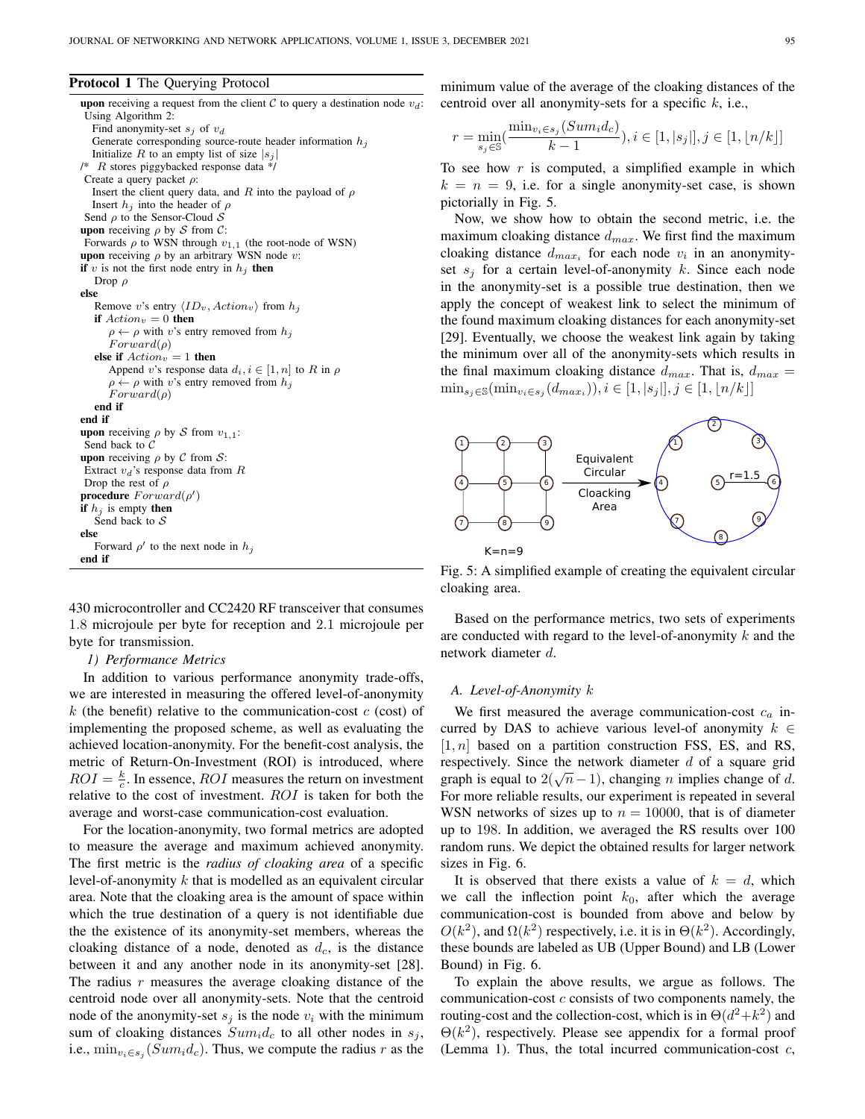#### Protocol 1 The Querying Protocol

```
upon receiving a request from the client C to query a destination node v_d:
Using Algorithm 2:
  Find anonymity-set s_i of v_dGenerate corresponding source-route header information h_iInitialize R to an empty list of size |s_i|/* R stores piggybacked response data */
Create a query packet \rho:
  Insert the client query data, and R into the payload of \rhoInsert h_i into the header of \rhoSend \rho to the Sensor-Cloud Supon receiving \rho by S from C:
Forwards \rho to WSN through v_{1,1} (the root-node of WSN)
upon receiving \rho by an arbitrary WSN node v:
if v is not the first node entry in h_i then
  Drop ρ
else
   Remove v's entry \langle ID_v, Action_v \rangle from h_iif Action_v = 0 then
      \rho \leftarrow \rho with v's entry removed from h_iForward(\rho)else if Action_v = 1 then
      Append v's response data d_i, i \in [1, n] to R in \rho\rho \leftarrow \rho with v's entry removed from h_iForward(\rho)end if
end if
upon receiving \rho by S from v_{1,1}:
Send back to C
upon receiving \rho by C from S:
Extract v_d's response data from RDrop the rest of \rhoprocedure Forward(\rho')if h_j is empty then
   Send back to Selse
   Forward \rho' to the next node in h_jend if
```
430 microcontroller and CC2420 RF transceiver that consumes 1.8 microjoule per byte for reception and 2.1 microjoule per byte for transmission.

# *1) Performance Metrics*

In addition to various performance anonymity trade-offs, we are interested in measuring the offered level-of-anonymity k (the benefit) relative to the communication-cost  $c$  (cost) of implementing the proposed scheme, as well as evaluating the achieved location-anonymity. For the benefit-cost analysis, the metric of Return-On-Investment (ROI) is introduced, where  $ROI = \frac{k}{c}$ . In essence, *ROI* measures the return on investment relative to the cost of investment.  $ROI$  is taken for both the average and worst-case communication-cost evaluation.

For the location-anonymity, two formal metrics are adopted to measure the average and maximum achieved anonymity. The first metric is the *radius of cloaking area* of a specific level-of-anonymity k that is modelled as an equivalent circular area. Note that the cloaking area is the amount of space within which the true destination of a query is not identifiable due the the existence of its anonymity-set members, whereas the cloaking distance of a node, denoted as  $d_c$ , is the distance between it and any another node in its anonymity-set [28]. The radius  $r$  measures the average cloaking distance of the centroid node over all anonymity-sets. Note that the centroid node of the anonymity-set  $s_j$  is the node  $v_i$  with the minimum sum of cloaking distances  $Sum_i d_c$  to all other nodes in  $s_j$ , i.e.,  $\min_{v_i \in s_j} (Sum_i d_c)$ . Thus, we compute the radius r as the minimum value of the average of the cloaking distances of the centroid over all anonymity-sets for a specific  $k$ , i.e.,

$$
r = \min_{s_j \in \mathbb{S}} (\frac{\min_{v_i \in s_j} (Sum_i d_c)}{k - 1}), i \in [1, |s_j|], j \in [1, \lfloor n/k \rfloor]
$$

To see how  $r$  is computed, a simplified example in which  $k = n = 9$ , i.e. for a single anonymity-set case, is shown pictorially in Fig. 5.

Now, we show how to obtain the second metric, i.e. the maximum cloaking distance  $d_{max}$ . We first find the maximum cloaking distance  $d_{max_i}$  for each node  $v_i$  in an anonymityset  $s_i$  for a certain level-of-anonymity k. Since each node in the anonymity-set is a possible true destination, then we apply the concept of weakest link to select the minimum of the found maximum cloaking distances for each anonymity-set [29]. Eventually, we choose the weakest link again by taking the minimum over all of the anonymity-sets which results in the final maximum cloaking distance  $d_{max}$ . That is,  $d_{max}$  =  $\min_{s_j \in \mathcal{S}} (\min_{v_i \in s_j} (d_{max_i})), i \in [1, |s_j|], j \in [1, |n/k|]$ 



Fig. 5: A simplified example of creating the equivalent circular cloaking area.

Based on the performance metrics, two sets of experiments are conducted with regard to the level-of-anonymity  $k$  and the network diameter d.

#### *A. Level-of-Anonymity* k

We first measured the average communication-cost  $c_a$  incurred by DAS to achieve various level-of anonymity  $k \in$  $[1, n]$  based on a partition construction FSS, ES, and RS, respectively. Since the network diameter  $d$  of a square grid expectively. Since the hetwork diameter  $u$  or a square grid<br>graph is equal to  $2(\sqrt{n}-1)$ , changing n implies change of d. For more reliable results, our experiment is repeated in several WSN networks of sizes up to  $n = 10000$ , that is of diameter up to 198. In addition, we averaged the RS results over 100 random runs. We depict the obtained results for larger network sizes in Fig. 6.

It is observed that there exists a value of  $k = d$ , which we call the inflection point  $k_0$ , after which the average communication-cost is bounded from above and below by  $O(k^2)$ , and  $\Omega(k^2)$  respectively, i.e. it is in  $\Theta(k^2)$ . Accordingly, these bounds are labeled as UB (Upper Bound) and LB (Lower Bound) in Fig. 6.

To explain the above results, we argue as follows. The communication-cost c consists of two components namely, the routing-cost and the collection-cost, which is in  $\Theta(d^2 + k^2)$  and  $\Theta(k^2)$ , respectively. Please see appendix for a formal proof (Lemma 1). Thus, the total incurred communication-cost  $c$ ,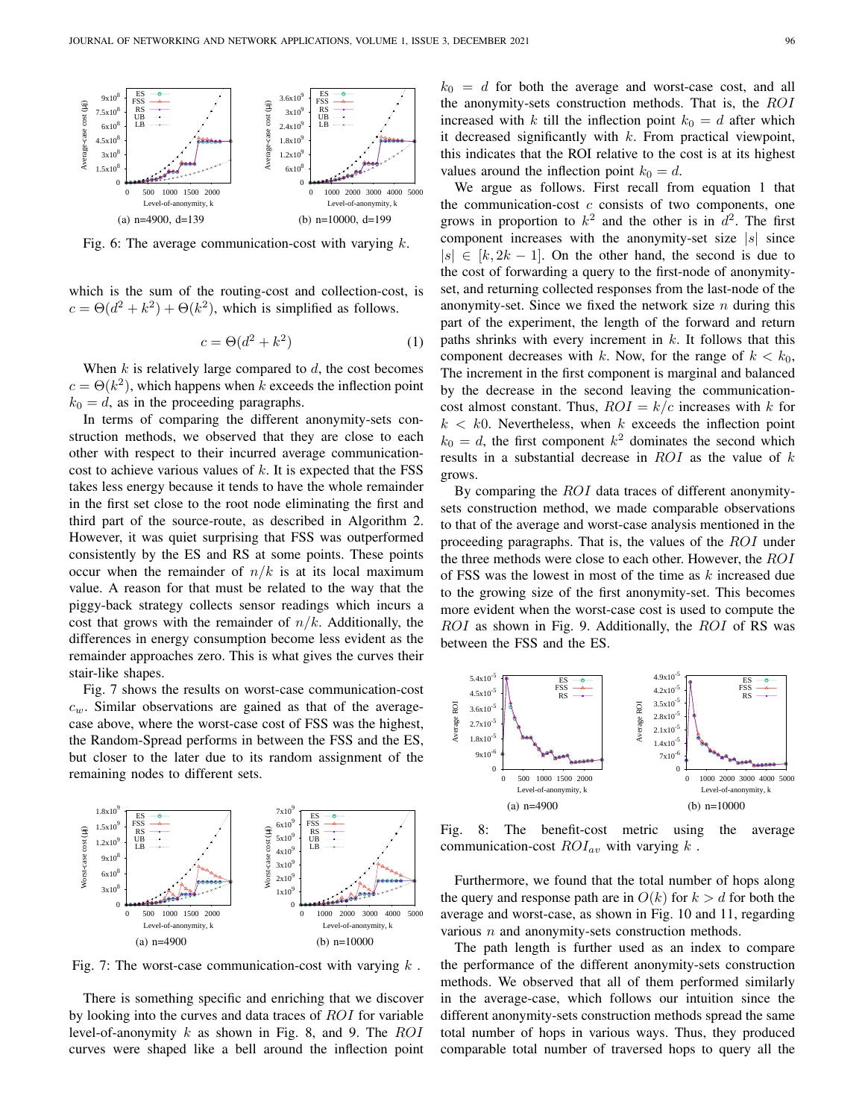

Fig. 6: The average communication-cost with varying  $k$ .

which is the sum of the routing-cost and collection-cost, is  $c = \Theta(d^2 + k^2) + \Theta(k^2)$ , which is simplified as follows.

$$
c = \Theta(d^2 + k^2) \tag{1}
$$

When  $k$  is relatively large compared to  $d$ , the cost becomes  $c = \Theta(k^2)$ , which happens when k exceeds the inflection point  $k_0 = d$ , as in the proceeding paragraphs.

In terms of comparing the different anonymity-sets construction methods, we observed that they are close to each other with respect to their incurred average communicationcost to achieve various values of  $k$ . It is expected that the FSS takes less energy because it tends to have the whole remainder in the first set close to the root node eliminating the first and third part of the source-route, as described in Algorithm 2. However, it was quiet surprising that FSS was outperformed consistently by the ES and RS at some points. These points occur when the remainder of  $n/k$  is at its local maximum value. A reason for that must be related to the way that the piggy-back strategy collects sensor readings which incurs a cost that grows with the remainder of  $n/k$ . Additionally, the differences in energy consumption become less evident as the remainder approaches zero. This is what gives the curves their stair-like shapes.

Fig. 7 shows the results on worst-case communication-cost  $c_w$ . Similar observations are gained as that of the averagecase above, where the worst-case cost of FSS was the highest, the Random-Spread performs in between the FSS and the ES, but closer to the later due to its random assignment of the remaining nodes to different sets.



Fig. 7: The worst-case communication-cost with varying  $k$ .

There is something specific and enriching that we discover by looking into the curves and data traces of ROI for variable level-of-anonymity  $k$  as shown in Fig. 8, and 9. The  $ROI$ curves were shaped like a bell around the inflection point  $k_0 = d$  for both the average and worst-case cost, and all the anonymity-sets construction methods. That is, the ROI increased with k till the inflection point  $k_0 = d$  after which it decreased significantly with  $k$ . From practical viewpoint, this indicates that the ROI relative to the cost is at its highest values around the inflection point  $k_0 = d$ .

We argue as follows. First recall from equation 1 that the communication-cost  $c$  consists of two components, one grows in proportion to  $k^2$  and the other is in  $d^2$ . The first component increases with the anonymity-set size  $|s|$  since  $|s| \in [k, 2k - 1]$ . On the other hand, the second is due to the cost of forwarding a query to the first-node of anonymityset, and returning collected responses from the last-node of the anonymity-set. Since we fixed the network size  $n$  during this part of the experiment, the length of the forward and return paths shrinks with every increment in  $k$ . It follows that this component decreases with k. Now, for the range of  $k < k_0$ , The increment in the first component is marginal and balanced by the decrease in the second leaving the communicationcost almost constant. Thus,  $ROI = k/c$  increases with k for  $k < k0$ . Nevertheless, when k exceeds the inflection point  $k_0 = d$ , the first component  $k^2$  dominates the second which results in a substantial decrease in  $ROI$  as the value of  $k$ grows.

By comparing the *ROI* data traces of different anonymitysets construction method, we made comparable observations to that of the average and worst-case analysis mentioned in the proceeding paragraphs. That is, the values of the ROI under the three methods were close to each other. However, the ROI of FSS was the lowest in most of the time as  $k$  increased due to the growing size of the first anonymity-set. This becomes more evident when the worst-case cost is used to compute the ROI as shown in Fig. 9. Additionally, the ROI of RS was between the FSS and the ES.



Fig. 8: The benefit-cost metric using the average communication-cost  $ROI_{av}$  with varying  $k$ .

Furthermore, we found that the total number of hops along the query and response path are in  $O(k)$  for  $k > d$  for both the average and worst-case, as shown in Fig. 10 and 11, regarding various  $n$  and anonymity-sets construction methods.

The path length is further used as an index to compare the performance of the different anonymity-sets construction methods. We observed that all of them performed similarly in the average-case, which follows our intuition since the different anonymity-sets construction methods spread the same total number of hops in various ways. Thus, they produced comparable total number of traversed hops to query all the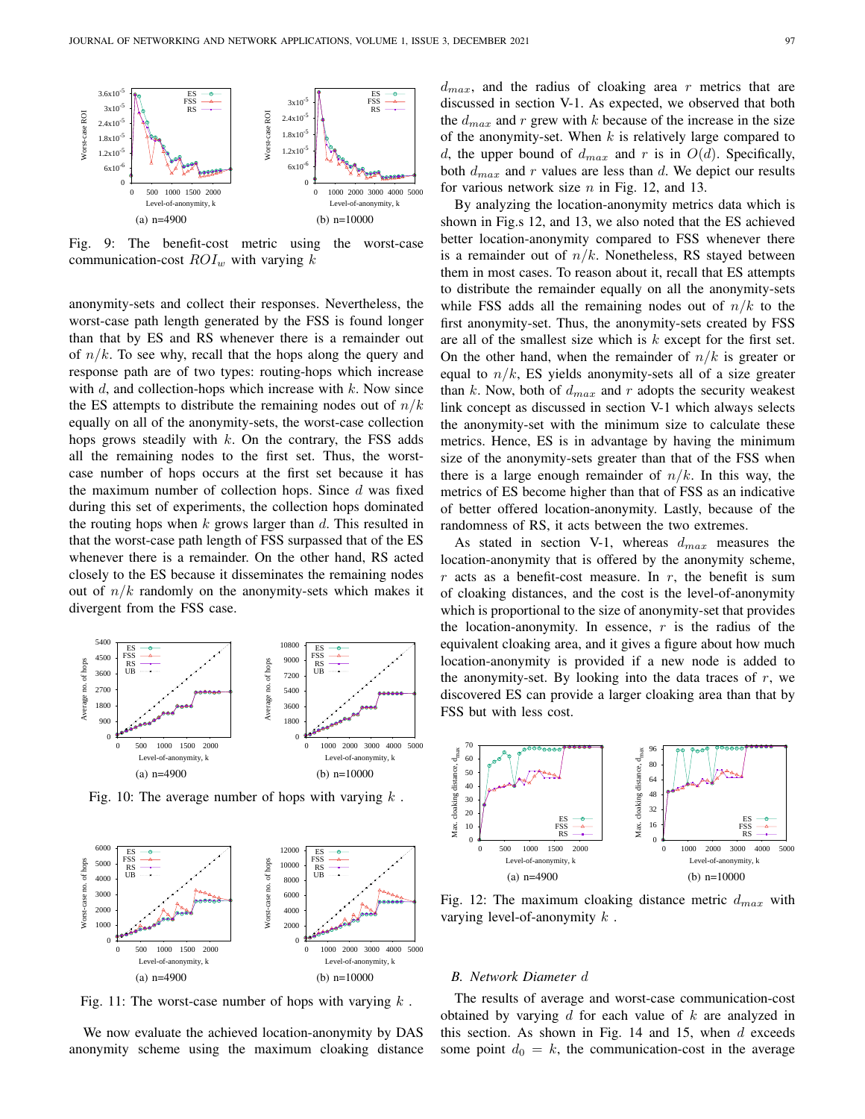

Fig. 9: The benefit-cost metric using the worst-case communication-cost  $ROI_w$  with varying k

anonymity-sets and collect their responses. Nevertheless, the worst-case path length generated by the FSS is found longer than that by ES and RS whenever there is a remainder out of  $n/k$ . To see why, recall that the hops along the query and response path are of two types: routing-hops which increase with  $d$ , and collection-hops which increase with  $k$ . Now since the ES attempts to distribute the remaining nodes out of  $n/k$ equally on all of the anonymity-sets, the worst-case collection hops grows steadily with  $k$ . On the contrary, the FSS adds all the remaining nodes to the first set. Thus, the worstcase number of hops occurs at the first set because it has the maximum number of collection hops. Since  $d$  was fixed during this set of experiments, the collection hops dominated the routing hops when  $k$  grows larger than  $d$ . This resulted in that the worst-case path length of FSS surpassed that of the ES whenever there is a remainder. On the other hand, RS acted closely to the ES because it disseminates the remaining nodes out of  $n/k$  randomly on the anonymity-sets which makes it divergent from the FSS case.



Fig. 10: The average number of hops with varying  $k$ .



Fig. 11: The worst-case number of hops with varying  $k$ .

We now evaluate the achieved location-anonymity by DAS anonymity scheme using the maximum cloaking distance  $d_{max}$ , and the radius of cloaking area r metrics that are discussed in section V-1. As expected, we observed that both the  $d_{max}$  and r grew with k because of the increase in the size of the anonymity-set. When  $k$  is relatively large compared to d, the upper bound of  $d_{max}$  and r is in  $O(d)$ . Specifically, both  $d_{max}$  and r values are less than d. We depict our results for various network size  $n$  in Fig. 12, and 13.

By analyzing the location-anonymity metrics data which is shown in Fig.s 12, and 13, we also noted that the ES achieved better location-anonymity compared to FSS whenever there is a remainder out of  $n/k$ . Nonetheless, RS stayed between them in most cases. To reason about it, recall that ES attempts to distribute the remainder equally on all the anonymity-sets while FSS adds all the remaining nodes out of  $n/k$  to the first anonymity-set. Thus, the anonymity-sets created by FSS are all of the smallest size which is  $k$  except for the first set. On the other hand, when the remainder of  $n/k$  is greater or equal to  $n/k$ , ES yields anonymity-sets all of a size greater than k. Now, both of  $d_{max}$  and r adopts the security weakest link concept as discussed in section V-1 which always selects the anonymity-set with the minimum size to calculate these metrics. Hence, ES is in advantage by having the minimum size of the anonymity-sets greater than that of the FSS when there is a large enough remainder of  $n/k$ . In this way, the metrics of ES become higher than that of FSS as an indicative of better offered location-anonymity. Lastly, because of the randomness of RS, it acts between the two extremes.

As stated in section V-1, whereas  $d_{max}$  measures the location-anonymity that is offered by the anonymity scheme,  $r$  acts as a benefit-cost measure. In  $r$ , the benefit is sum of cloaking distances, and the cost is the level-of-anonymity which is proportional to the size of anonymity-set that provides the location-anonymity. In essence,  $r$  is the radius of the equivalent cloaking area, and it gives a figure about how much location-anonymity is provided if a new node is added to the anonymity-set. By looking into the data traces of  $r$ , we discovered ES can provide a larger cloaking area than that by FSS but with less cost.



Fig. 12: The maximum cloaking distance metric  $d_{max}$  with varying level-of-anonymity  $k$ .

#### *B. Network Diameter* d

The results of average and worst-case communication-cost obtained by varying  $d$  for each value of  $k$  are analyzed in this section. As shown in Fig. 14 and 15, when  $d$  exceeds some point  $d_0 = k$ , the communication-cost in the average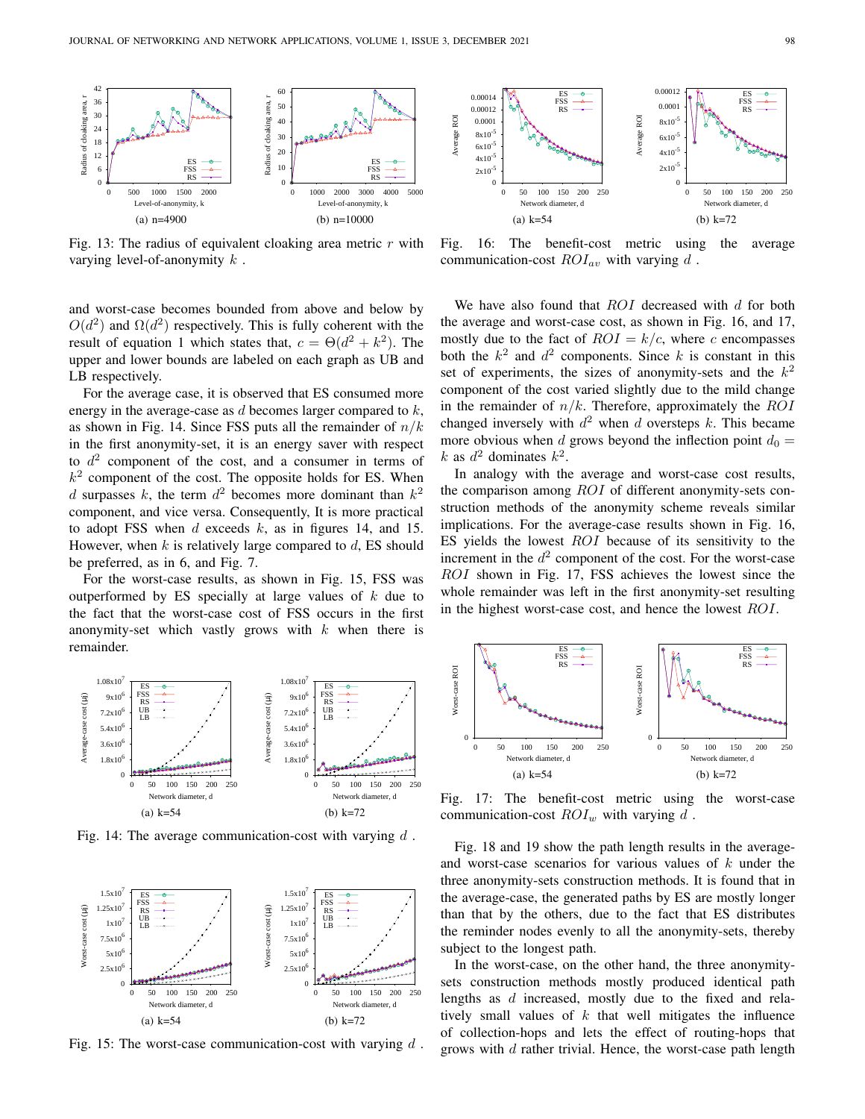

Fig. 13: The radius of equivalent cloaking area metric  $r$  with varying level-of-anonymity  $k$ .

and worst-case becomes bounded from above and below by  $O(d^2)$  and  $\Omega(d^2)$  respectively. This is fully coherent with the result of equation 1 which states that,  $c = \Theta(d^2 + k^2)$ . The upper and lower bounds are labeled on each graph as UB and LB respectively.

For the average case, it is observed that ES consumed more energy in the average-case as  $d$  becomes larger compared to  $k$ , as shown in Fig. 14. Since FSS puts all the remainder of  $n/k$ in the first anonymity-set, it is an energy saver with respect to  $d^2$  component of the cost, and a consumer in terms of  $k<sup>2</sup>$  component of the cost. The opposite holds for ES. When d surpasses k, the term  $d^2$  becomes more dominant than  $k^2$ component, and vice versa. Consequently, It is more practical to adopt FSS when  $d$  exceeds  $k$ , as in figures 14, and 15. However, when  $k$  is relatively large compared to  $d$ , ES should be preferred, as in 6, and Fig. 7.

For the worst-case results, as shown in Fig. 15, FSS was outperformed by ES specially at large values of  $k$  due to the fact that the worst-case cost of FSS occurs in the first anonymity-set which vastly grows with  $k$  when there is remainder.



Fig. 16: The benefit-cost metric using the average communication-cost  $ROI_{av}$  with varying d.

We have also found that  $ROI$  decreased with  $d$  for both the average and worst-case cost, as shown in Fig. 16, and 17, mostly due to the fact of  $ROI = k/c$ , where c encompasses both the  $k^2$  and  $d^2$  components. Since k is constant in this set of experiments, the sizes of anonymity-sets and the  $k^2$ component of the cost varied slightly due to the mild change in the remainder of  $n/k$ . Therefore, approximately the ROI changed inversely with  $d^2$  when d oversteps k. This became more obvious when d grows beyond the inflection point  $d_0 =$ k as  $d^2$  dominates  $k^2$ .

In analogy with the average and worst-case cost results, the comparison among ROI of different anonymity-sets construction methods of the anonymity scheme reveals similar implications. For the average-case results shown in Fig. 16, ES yields the lowest  $ROI$  because of its sensitivity to the increment in the  $d^2$  component of the cost. For the worst-case ROI shown in Fig. 17, FSS achieves the lowest since the whole remainder was left in the first anonymity-set resulting in the highest worst-case cost, and hence the lowest ROI.



Fig. 14: The average communication-cost with varying  $d$ .



Fig. 15: The worst-case communication-cost with varying  $d$ .



Fig. 17: The benefit-cost metric using the worst-case communication-cost  $ROI_w$  with varying d.

Fig. 18 and 19 show the path length results in the averageand worst-case scenarios for various values of  $k$  under the three anonymity-sets construction methods. It is found that in the average-case, the generated paths by ES are mostly longer than that by the others, due to the fact that ES distributes the reminder nodes evenly to all the anonymity-sets, thereby subject to the longest path.

In the worst-case, on the other hand, the three anonymitysets construction methods mostly produced identical path lengths as d increased, mostly due to the fixed and relatively small values of  $k$  that well mitigates the influence of collection-hops and lets the effect of routing-hops that grows with  $d$  rather trivial. Hence, the worst-case path length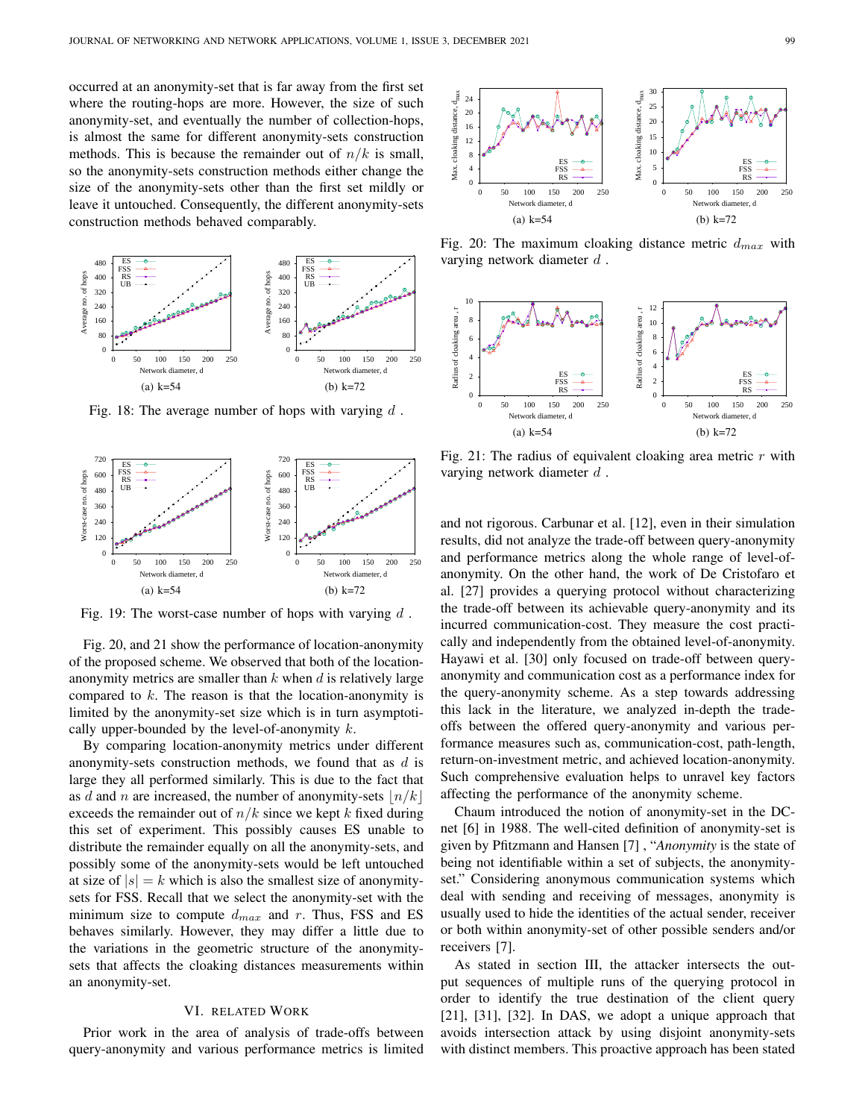occurred at an anonymity-set that is far away from the first set where the routing-hops are more. However, the size of such anonymity-set, and eventually the number of collection-hops, is almost the same for different anonymity-sets construction methods. This is because the remainder out of  $n/k$  is small, so the anonymity-sets construction methods either change the size of the anonymity-sets other than the first set mildly or leave it untouched. Consequently, the different anonymity-sets construction methods behaved comparably.



Fig. 18: The average number of hops with varying  $d$ .



Fig. 19: The worst-case number of hops with varying  $d$ .

Fig. 20, and 21 show the performance of location-anonymity of the proposed scheme. We observed that both of the locationanonymity metrics are smaller than  $k$  when  $d$  is relatively large compared to  $k$ . The reason is that the location-anonymity is limited by the anonymity-set size which is in turn asymptotically upper-bounded by the level-of-anonymity  $k$ .

By comparing location-anonymity metrics under different anonymity-sets construction methods, we found that as  $d$  is large they all performed similarly. This is due to the fact that as d and n are increased, the number of anonymity-sets  $|n/k|$ exceeds the remainder out of  $n/k$  since we kept k fixed during this set of experiment. This possibly causes ES unable to distribute the remainder equally on all the anonymity-sets, and possibly some of the anonymity-sets would be left untouched at size of  $|s| = k$  which is also the smallest size of anonymitysets for FSS. Recall that we select the anonymity-set with the minimum size to compute  $d_{max}$  and r. Thus, FSS and ES behaves similarly. However, they may differ a little due to the variations in the geometric structure of the anonymitysets that affects the cloaking distances measurements within an anonymity-set. size of the monomially sets coller than the first set minimilar or  $\frac{1}{2}$  and  $\frac{1}{2}$  and  $\frac{1}{2}$  and  $\frac{1}{2}$  and  $\frac{1}{2}$  and  $\frac{1}{2}$  and  $\frac{1}{2}$  and  $\frac{1}{2}$  and  $\frac{1}{2}$  and  $\frac{1}{2}$  and  $\frac{1}{2}$  and

#### VI. RELATED WORK

Prior work in the area of analysis of trade-offs between



Fig. 20: The maximum cloaking distance metric  $d_{max}$  with varying network diameter  $d$ .



Fig. 21: The radius of equivalent cloaking area metric  $r$  with varying network diameter  $d$ .

and not rigorous. Carbunar et al. [12], even in their simulation results, did not analyze the trade-off between query-anonymity and performance metrics along the whole range of level-ofanonymity. On the other hand, the work of De Cristofaro et al. [27] provides a querying protocol without characterizing the trade-off between its achievable query-anonymity and its incurred communication-cost. They measure the cost practically and independently from the obtained level-of-anonymity. Hayawi et al. [30] only focused on trade-off between queryanonymity and communication cost as a performance index for the query-anonymity scheme. As a step towards addressing this lack in the literature, we analyzed in-depth the tradeoffs between the offered query-anonymity and various performance measures such as, communication-cost, path-length, return-on-investment metric, and achieved location-anonymity. Such comprehensive evaluation helps to unravel key factors affecting the performance of the anonymity scheme.

Chaum introduced the notion of anonymity-set in the DCnet [6] in 1988. The well-cited definition of anonymity-set is given by Pfitzmann and Hansen [7] , "*Anonymity* is the state of being not identifiable within a set of subjects, the anonymityset." Considering anonymous communication systems which deal with sending and receiving of messages, anonymity is usually used to hide the identities of the actual sender, receiver or both within anonymity-set of other possible senders and/or receivers [7].

As stated in section III, the attacker intersects the output sequences of multiple runs of the querying protocol in order to identify the true destination of the client query [21], [31], [32]. In DAS, we adopt a unique approach that avoids intersection attack by using disjoint anonymity-sets with distinct members. This proactive approach has been stated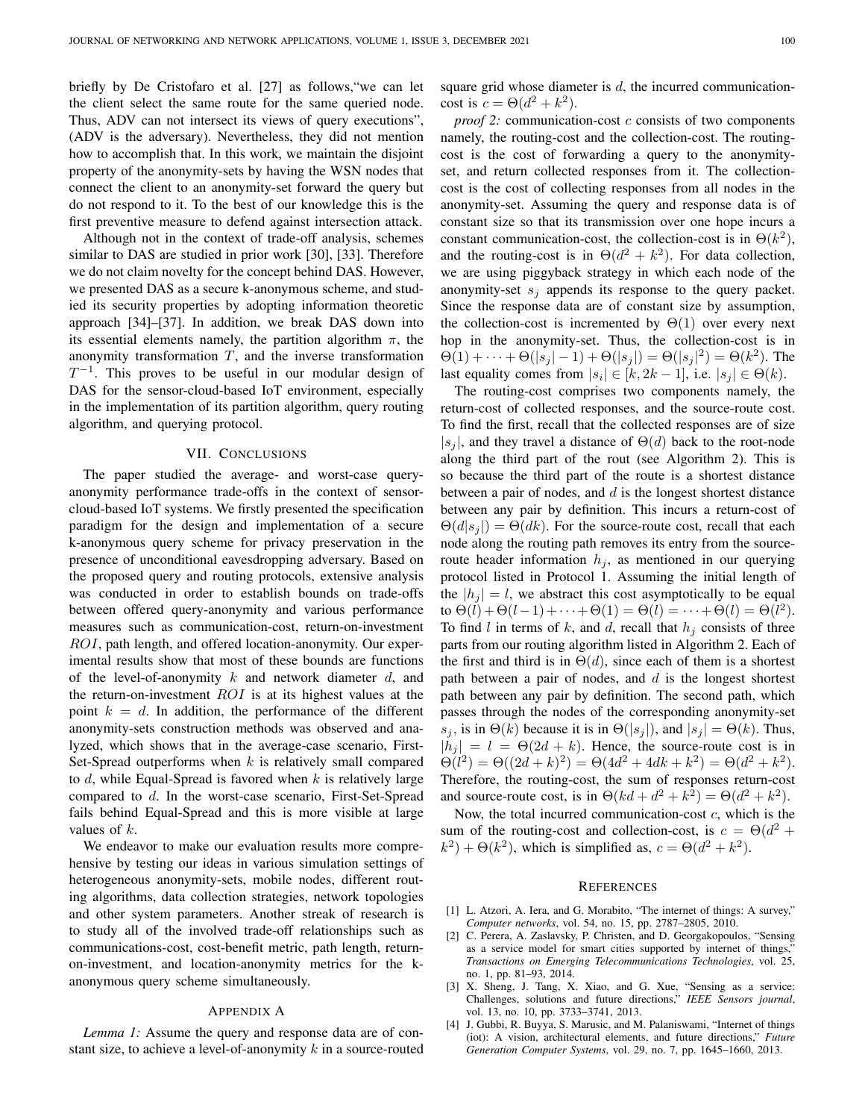briefly by De Cristofaro et al. [27] as follows,"we can let the client select the same route for the same queried node. Thus, ADV can not intersect its views of query executions", (ADV is the adversary). Nevertheless, they did not mention how to accomplish that. In this work, we maintain the disjoint property of the anonymity-sets by having the WSN nodes that connect the client to an anonymity-set forward the query but do not respond to it. To the best of our knowledge this is the first preventive measure to defend against intersection attack.

Although not in the context of trade-off analysis, schemes similar to DAS are studied in prior work [30], [33]. Therefore we do not claim novelty for the concept behind DAS. However, we presented DAS as a secure k-anonymous scheme, and studied its security properties by adopting information theoretic approach [34]–[37]. In addition, we break DAS down into its essential elements namely, the partition algorithm  $\pi$ , the anonymity transformation  $T$ , and the inverse transformation  $T^{-1}$ . This proves to be useful in our modular design of DAS for the sensor-cloud-based IoT environment, especially in the implementation of its partition algorithm, query routing algorithm, and querying protocol.

#### VII. CONCLUSIONS

The paper studied the average- and worst-case queryanonymity performance trade-offs in the context of sensorcloud-based IoT systems. We firstly presented the specification paradigm for the design and implementation of a secure k-anonymous query scheme for privacy preservation in the presence of unconditional eavesdropping adversary. Based on the proposed query and routing protocols, extensive analysis was conducted in order to establish bounds on trade-offs between offered query-anonymity and various performance measures such as communication-cost, return-on-investment ROI, path length, and offered location-anonymity. Our experimental results show that most of these bounds are functions of the level-of-anonymity k and network diameter d, and the return-on-investment  $ROI$  is at its highest values at the point  $k = d$ . In addition, the performance of the different anonymity-sets construction methods was observed and analyzed, which shows that in the average-case scenario, First-Set-Spread outperforms when  $k$  is relatively small compared to d, while Equal-Spread is favored when  $k$  is relatively large compared to d. In the worst-case scenario, First-Set-Spread fails behind Equal-Spread and this is more visible at large values of  $k$ .

We endeavor to make our evaluation results more comprehensive by testing our ideas in various simulation settings of heterogeneous anonymity-sets, mobile nodes, different routing algorithms, data collection strategies, network topologies and other system parameters. Another streak of research is to study all of the involved trade-off relationships such as communications-cost, cost-benefit metric, path length, returnon-investment, and location-anonymity metrics for the kanonymous query scheme simultaneously.

#### APPENDIX A

*Lemma 1:* Assume the query and response data are of constant size, to achieve a level-of-anonymity  $k$  in a source-routed square grid whose diameter is  $d$ , the incurred communicationcost is  $c = \Theta(d^2 + k^2)$ .

*proof 2:* communication-cost c consists of two components namely, the routing-cost and the collection-cost. The routingcost is the cost of forwarding a query to the anonymityset, and return collected responses from it. The collectioncost is the cost of collecting responses from all nodes in the anonymity-set. Assuming the query and response data is of constant size so that its transmission over one hope incurs a constant communication-cost, the collection-cost is in  $\Theta(k^2)$ , and the routing-cost is in  $\Theta(d^2 + k^2)$ . For data collection, we are using piggyback strategy in which each node of the anonymity-set  $s_i$  appends its response to the query packet. Since the response data are of constant size by assumption, the collection-cost is incremented by  $\Theta(1)$  over every next hop in the anonymity-set. Thus, the collection-cost is in  $\Theta(1) + \cdots + \Theta(|s_j| - 1) + \Theta(|s_j|) = \Theta(|s_j|^2) = \Theta(k^2)$ . The last equality comes from  $|s_i| \in [k, 2k-1]$ , i.e.  $|s_j| \in \Theta(k)$ .

The routing-cost comprises two components namely, the return-cost of collected responses, and the source-route cost. To find the first, recall that the collected responses are of size  $|s_i|$ , and they travel a distance of  $\Theta(d)$  back to the root-node along the third part of the rout (see Algorithm 2). This is so because the third part of the route is a shortest distance between a pair of nodes, and  $d$  is the longest shortest distance between any pair by definition. This incurs a return-cost of  $\Theta(d|s_i|) = \Theta(dk)$ . For the source-route cost, recall that each node along the routing path removes its entry from the sourceroute header information  $h_i$ , as mentioned in our querying protocol listed in Protocol 1. Assuming the initial length of the  $|h_i| = l$ , we abstract this cost asymptotically to be equal to  $\Theta(\ell) + \Theta(\ell - 1) + \cdots + \Theta(1) = \Theta(\ell) = \cdots + \Theta(\ell) = \Theta(\ell^2)$ . To find l in terms of k, and d, recall that  $h_i$  consists of three parts from our routing algorithm listed in Algorithm 2. Each of the first and third is in  $\Theta(d)$ , since each of them is a shortest path between a pair of nodes, and  $d$  is the longest shortest path between any pair by definition. The second path, which passes through the nodes of the corresponding anonymity-set s<sub>i</sub>, is in  $\Theta(k)$  because it is in  $\Theta(|s_i|)$ , and  $|s_i| = \Theta(k)$ . Thus,  $|h_j| = l = \Theta(2d + k)$ . Hence, the source-route cost is in  $\Theta(l^2) = \Theta((2d+k)^2) = \Theta(4d^2+4dk+k^2) = \Theta(d^2+k^2).$ Therefore, the routing-cost, the sum of responses return-cost and source-route cost, is in  $\Theta(kd + d^2 + k^2) = \Theta(d^2 + k^2)$ .

Now, the total incurred communication-cost  $c$ , which is the sum of the routing-cost and collection-cost, is  $c = \Theta(d^2 +$  $(k^2) + \Theta(k^2)$ , which is simplified as,  $c = \Theta(d^2 + k^2)$ .

#### **REFERENCES**

- [1] L. Atzori, A. Iera, and G. Morabito, "The internet of things: A survey," *Computer networks*, vol. 54, no. 15, pp. 2787–2805, 2010.
- [2] C. Perera, A. Zaslavsky, P. Christen, and D. Georgakopoulos, "Sensing as a service model for smart cities supported by internet of things, *Transactions on Emerging Telecommunications Technologies*, vol. 25, no. 1, pp. 81–93, 2014.
- [3] X. Sheng, J. Tang, X. Xiao, and G. Xue, "Sensing as a service: Challenges, solutions and future directions," *IEEE Sensors journal*, vol. 13, no. 10, pp. 3733–3741, 2013.
- [4] J. Gubbi, R. Buyya, S. Marusic, and M. Palaniswami, "Internet of things (iot): A vision, architectural elements, and future directions," *Future Generation Computer Systems*, vol. 29, no. 7, pp. 1645–1660, 2013.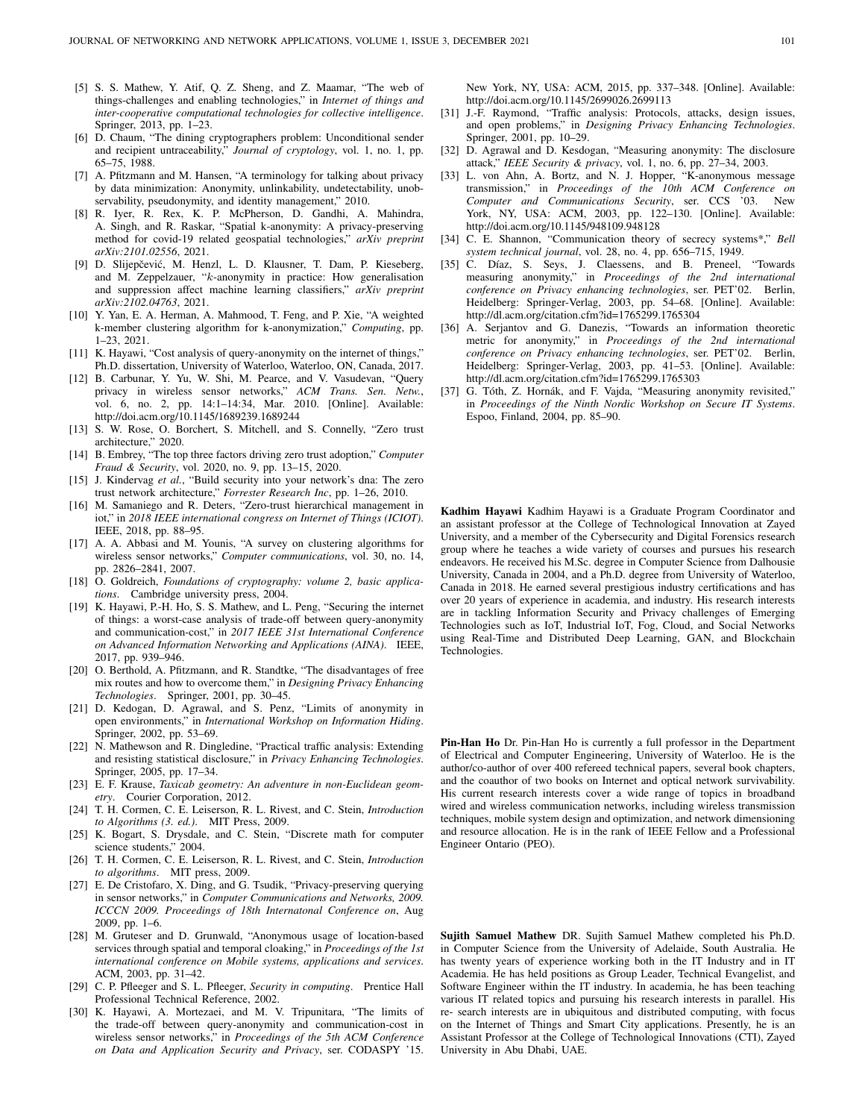- [5] S. S. Mathew, Y. Atif, Q. Z. Sheng, and Z. Maamar, "The web of things-challenges and enabling technologies," in *Internet of things and inter-cooperative computational technologies for collective intelligence*. Springer, 2013, pp. 1–23.
- [6] D. Chaum, "The dining cryptographers problem: Unconditional sender and recipient untraceability," *Journal of cryptology*, vol. 1, no. 1, pp. 65–75, 1988.
- [7] A. Pfitzmann and M. Hansen, "A terminology for talking about privacy by data minimization: Anonymity, unlinkability, undetectability, unobservability, pseudonymity, and identity management," 2010.
- [8] R. Iyer, R. Rex, K. P. McPherson, D. Gandhi, A. Mahindra, A. Singh, and R. Raskar, "Spatial k-anonymity: A privacy-preserving method for covid-19 related geospatial technologies," *arXiv preprint arXiv:2101.02556*, 2021.
- [9] D. Slijepčević, M. Henzl, L. D. Klausner, T. Dam, P. Kieseberg, and M. Zeppelzauer, "k-anonymity in practice: How generalisation and suppression affect machine learning classifiers," *arXiv preprint arXiv:2102.04763*, 2021.
- [10] Y. Yan, E. A. Herman, A. Mahmood, T. Feng, and P. Xie, "A weighted k-member clustering algorithm for k-anonymization," *Computing*, pp. 1–23, 2021.
- [11] K. Hayawi, "Cost analysis of query-anonymity on the internet of things," Ph.D. dissertation, University of Waterloo, Waterloo, ON, Canada, 2017.
- [12] B. Carbunar, Y. Yu, W. Shi, M. Pearce, and V. Vasudevan, "Query privacy in wireless sensor networks," *ACM Trans. Sen. Netw.*, vol. 6, no. 2, pp. 14:1–14:34, Mar. 2010. [Online]. Available: http://doi.acm.org/10.1145/1689239.1689244
- [13] S. W. Rose, O. Borchert, S. Mitchell, and S. Connelly, "Zero trust architecture," 2020.
- [14] B. Embrey, "The top three factors driving zero trust adoption," *Computer Fraud & Security*, vol. 2020, no. 9, pp. 13–15, 2020.
- [15] J. Kindervag *et al.*, "Build security into your network's dna: The zero trust network architecture," *Forrester Research Inc*, pp. 1–26, 2010.
- [16] M. Samaniego and R. Deters, "Zero-trust hierarchical management in iot," in *2018 IEEE international congress on Internet of Things (ICIOT)*. IEEE, 2018, pp. 88–95.
- [17] A. A. Abbasi and M. Younis, "A survey on clustering algorithms for wireless sensor networks," *Computer communications*, vol. 30, no. 14, pp. 2826–2841, 2007.
- [18] O. Goldreich, *Foundations of cryptography: volume 2, basic applications*. Cambridge university press, 2004.
- [19] K. Hayawi, P.-H. Ho, S. S. Mathew, and L. Peng, "Securing the internet of things: a worst-case analysis of trade-off between query-anonymity and communication-cost," in *2017 IEEE 31st International Conference on Advanced Information Networking and Applications (AINA)*. IEEE, 2017, pp. 939–946.
- [20] O. Berthold, A. Pfitzmann, and R. Standtke, "The disadvantages of free mix routes and how to overcome them," in *Designing Privacy Enhancing Technologies*. Springer, 2001, pp. 30–45.
- [21] D. Kedogan, D. Agrawal, and S. Penz, "Limits of anonymity in open environments," in *International Workshop on Information Hiding*. Springer, 2002, pp. 53–69.
- [22] N. Mathewson and R. Dingledine, "Practical traffic analysis: Extending and resisting statistical disclosure," in *Privacy Enhancing Technologies*. Springer, 2005, pp. 17–34.
- [23] E. F. Krause, *Taxicab geometry: An adventure in non-Euclidean geometry*. Courier Corporation, 2012.
- [24] T. H. Cormen, C. E. Leiserson, R. L. Rivest, and C. Stein, *Introduction to Algorithms (3. ed.)*. MIT Press, 2009.
- [25] K. Bogart, S. Drysdale, and C. Stein, "Discrete math for computer science students," 2004.
- [26] T. H. Cormen, C. E. Leiserson, R. L. Rivest, and C. Stein, *Introduction to algorithms*. MIT press, 2009.
- [27] E. De Cristofaro, X. Ding, and G. Tsudik, "Privacy-preserving querying in sensor networks," in *Computer Communications and Networks, 2009. ICCCN 2009. Proceedings of 18th Internatonal Conference on*, Aug 2009, pp. 1–6.
- [28] M. Gruteser and D. Grunwald, "Anonymous usage of location-based services through spatial and temporal cloaking," in *Proceedings of the 1st international conference on Mobile systems, applications and services*. ACM, 2003, pp. 31–42.
- [29] C. P. Pfleeger and S. L. Pfleeger, *Security in computing*. Prentice Hall Professional Technical Reference, 2002.
- [30] K. Hayawi, A. Mortezaei, and M. V. Tripunitara, "The limits of the trade-off between query-anonymity and communication-cost in wireless sensor networks," in *Proceedings of the 5th ACM Conference on Data and Application Security and Privacy*, ser. CODASPY '15.

New York, NY, USA: ACM, 2015, pp. 337–348. [Online]. Available: http://doi.acm.org/10.1145/2699026.2699113

- [31] J.-F. Raymond, "Traffic analysis: Protocols, attacks, design issues, and open problems," in *Designing Privacy Enhancing Technologies*. Springer, 2001, pp. 10–29.
- [32] D. Agrawal and D. Kesdogan, "Measuring anonymity: The disclosure attack," *IEEE Security & privacy*, vol. 1, no. 6, pp. 27–34, 2003.
- [33] L. von Ahn, A. Bortz, and N. J. Hopper, "K-anonymous message transmission," in *Proceedings of the 10th ACM Conference on Computer and Communications Security*, ser. CCS '03. New York, NY, USA: ACM, 2003, pp. 122–130. [Online]. Available: http://doi.acm.org/10.1145/948109.948128
- [34] C. E. Shannon, "Communication theory of secrecy systems\*," *Bell system technical journal*, vol. 28, no. 4, pp. 656–715, 1949.
- [35] C. Díaz, S. Seys, J. Claessens, and B. Preneel, "Towards measuring anonymity," in *Proceedings of the 2nd international conference on Privacy enhancing technologies*, ser. PET'02. Berlin, Heidelberg: Springer-Verlag, 2003, pp. 54–68. [Online]. Available: http://dl.acm.org/citation.cfm?id=1765299.1765304
- [36] A. Serjantov and G. Danezis, "Towards an information theoretic metric for anonymity," in *Proceedings of the 2nd international conference on Privacy enhancing technologies*, ser. PET'02. Berlin, Heidelberg: Springer-Verlag, 2003, pp. 41–53. [Online]. Available: http://dl.acm.org/citation.cfm?id=1765299.1765303
- [37] G. Tóth, Z. Hornák, and F. Vajda, "Measuring anonymity revisited," in *Proceedings of the Ninth Nordic Workshop on Secure IT Systems*. Espoo, Finland, 2004, pp. 85–90.

Kadhim Hayawi Kadhim Hayawi is a Graduate Program Coordinator and an assistant professor at the College of Technological Innovation at Zayed University, and a member of the Cybersecurity and Digital Forensics research group where he teaches a wide variety of courses and pursues his research endeavors. He received his M.Sc. degree in Computer Science from Dalhousie University, Canada in 2004, and a Ph.D. degree from University of Waterloo, Canada in 2018. He earned several prestigious industry certifications and has over 20 years of experience in academia, and industry. His research interests are in tackling Information Security and Privacy challenges of Emerging Technologies such as IoT, Industrial IoT, Fog, Cloud, and Social Networks using Real-Time and Distributed Deep Learning, GAN, and Blockchain Technologies.

Pin-Han Ho Dr. Pin-Han Ho is currently a full professor in the Department of Electrical and Computer Engineering, University of Waterloo. He is the author/co-author of over 400 refereed technical papers, several book chapters, and the coauthor of two books on Internet and optical network survivability. His current research interests cover a wide range of topics in broadband wired and wireless communication networks, including wireless transmission techniques, mobile system design and optimization, and network dimensioning and resource allocation. He is in the rank of IEEE Fellow and a Professional Engineer Ontario (PEO).

Sujith Samuel Mathew DR. Sujith Samuel Mathew completed his Ph.D. in Computer Science from the University of Adelaide, South Australia. He has twenty years of experience working both in the IT Industry and in IT Academia. He has held positions as Group Leader, Technical Evangelist, and Software Engineer within the IT industry. In academia, he has been teaching various IT related topics and pursuing his research interests in parallel. His re- search interests are in ubiquitous and distributed computing, with focus on the Internet of Things and Smart City applications. Presently, he is an Assistant Professor at the College of Technological Innovations (CTI), Zayed University in Abu Dhabi, UAE.